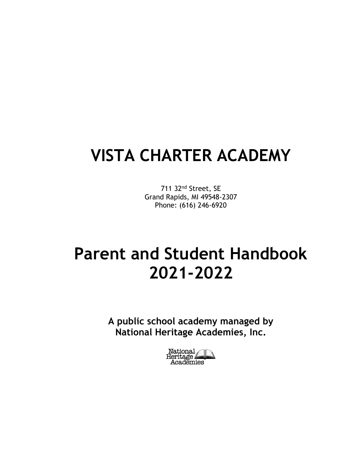# **VISTA CHARTER ACADEMY**

711 32nd Street, SE Grand Rapids, MI 49548-2307 Phone: (616) 246-6920

# **Parent and Student Handbook 2021-2022**

**A public school academy managed by National Heritage Academies, Inc.**

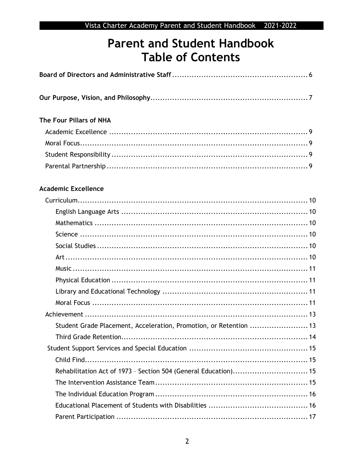## **Parent and Student Handbook Table of Contents**

| The Four Pillars of NHA                                            |  |
|--------------------------------------------------------------------|--|
|                                                                    |  |
|                                                                    |  |
|                                                                    |  |
|                                                                    |  |
| <b>Academic Excellence</b>                                         |  |
|                                                                    |  |
|                                                                    |  |
|                                                                    |  |
|                                                                    |  |
|                                                                    |  |
|                                                                    |  |
|                                                                    |  |
|                                                                    |  |
|                                                                    |  |
|                                                                    |  |
|                                                                    |  |
| Student Grade Placement, Acceleration, Promotion, or Retention  13 |  |
|                                                                    |  |
|                                                                    |  |
|                                                                    |  |
| Rehabilitation Act of 1973 - Section 504 (General Education) 15    |  |
|                                                                    |  |
|                                                                    |  |
|                                                                    |  |
|                                                                    |  |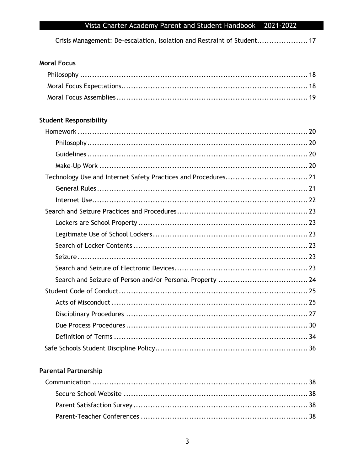Crisis Management: De-escalation, Isolation and Restraint of Student.................... 17

## **Moral Focus**

## **Student Responsibility**

## **Parental Partnership**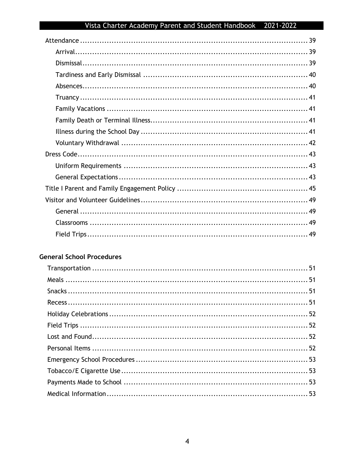### **General School Procedures**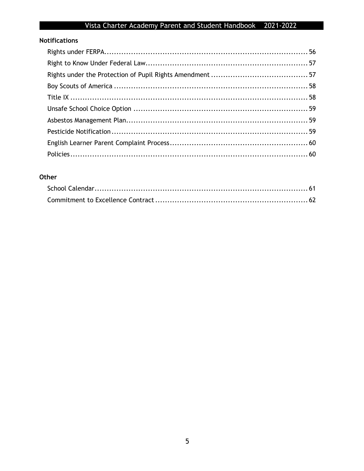## **Notifications**

### Other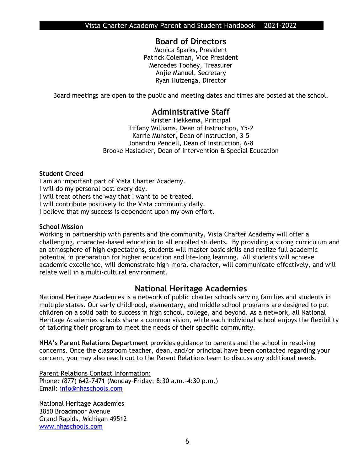### **Board of Directors**

Monica Sparks, President Patrick Coleman, Vice President Mercedes Toohey, Treasurer Anjie Manuel, Secretary Ryan Huizenga, Director

Board meetings are open to the public and meeting dates and times are posted at the school.

## **Administrative Staff**

Kristen Hekkema, Principal Tiffany Williams, Dean of Instruction, Y5-2 Karrie Munster, Dean of Instruction, 3-5 Jonandru Pendell, Dean of Instruction, 6-8 Brooke Haslacker, Dean of Intervention & Special Education

### **Student Creed**

I am an important part of Vista Charter Academy. I will do my personal best every day. I will treat others the way that I want to be treated. I will contribute positively to the Vista community daily. I believe that my success is dependent upon my own effort.

#### **School Mission**

Working in partnership with parents and the community, Vista Charter Academy will offer a challenging, character-based education to all enrolled students. By providing a strong curriculum and an atmosphere of high expectations, students will master basic skills and realize full academic potential in preparation for higher education and life-long learning. All students will achieve academic excellence, will demonstrate high-moral character, will communicate effectively, and will relate well in a multi-cultural environment.

## **National Heritage Academies**

National Heritage Academies is a network of public charter schools serving families and students in multiple states. Our early childhood, elementary, and middle school programs are designed to put children on a solid path to success in high school, college, and beyond. As a network, all National Heritage Academies schools share a common vision, while each individual school enjoys the flexibility of tailoring their program to meet the needs of their specific community.

**NHA's Parent Relations Department** provides guidance to parents and the school in resolving concerns. Once the classroom teacher, dean, and/or principal have been contacted regarding your concern, you may also reach out to the Parent Relations team to discuss any additional needs.

Parent Relations Contact Information: Phone: (877) 642-7471 (Monday–Friday; 8:30 a.m.–4:30 p.m.) Email: [info@nhaschools.com](mailto:info@nhaschools.com)

National Heritage Academies 3850 Broadmoor Avenue Grand Rapids, Michigan 49512 [www.nhaschools.com](http://www.nhaschools.com/)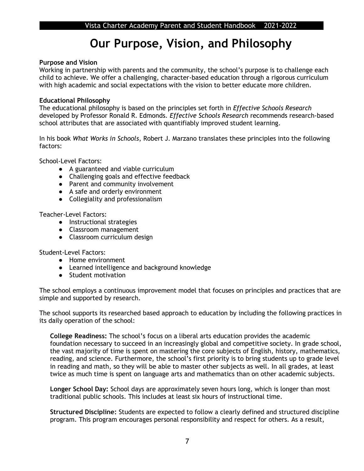## **Our Purpose, Vision, and Philosophy**

### **Purpose and Vision**

Working in partnership with parents and the community, the school's purpose is to challenge each child to achieve. We offer a challenging, character-based education through a rigorous curriculum with high academic and social expectations with the vision to better educate more children.

### **Educational Philosophy**

The educational philosophy is based on the principles set forth in *Effective Schools Research*  developed by Professor Ronald R. Edmonds*. Effective Schools Research* recommends research-based school attributes that are associated with quantifiably improved student learning.

In his book *What Works in Schools*, Robert J. Marzano translates these principles into the following factors:

School-Level Factors:

- A guaranteed and viable curriculum
- Challenging goals and effective feedback
- Parent and community involvement
- A safe and orderly environment
- Collegiality and professionalism

Teacher-Level Factors:

- Instructional strategies
- Classroom management
- Classroom curriculum design

Student-Level Factors:

- Home environment
- Learned intelligence and background knowledge
- Student motivation

The school employs a continuous improvement model that focuses on principles and practices that are simple and supported by research.

The school supports its researched based approach to education by including the following practices in its daily operation of the school:

**College Readiness:** The school's focus on a liberal arts education provides the academic foundation necessary to succeed in an increasingly global and competitive society. In grade school, the vast majority of time is spent on mastering the core subjects of English, history, mathematics, reading, and science. Furthermore, the school's first priority is to bring students up to grade level in reading and math, so they will be able to master other subjects as well. In all grades, at least twice as much time is spent on language arts and mathematics than on other academic subjects.

**Longer School Day:** School days are approximately seven hours long, which is longer than most traditional public schools. This includes at least six hours of instructional time.

**Structured Discipline:** Students are expected to follow a clearly defined and structured discipline program. This program encourages personal responsibility and respect for others. As a result,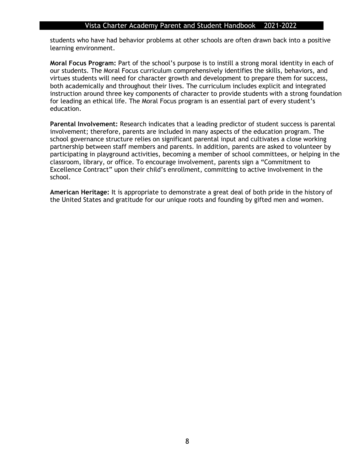students who have had behavior problems at other schools are often drawn back into a positive learning environment.

**Moral Focus Program:** Part of the school's purpose is to instill a strong moral identity in each of our students. The Moral Focus curriculum comprehensively identifies the skills, behaviors, and virtues students will need for character growth and development to prepare them for success, both academically and throughout their lives. The curriculum includes explicit and integrated instruction around three key components of character to provide students with a strong foundation for leading an ethical life. The Moral Focus program is an essential part of every student's education.

**Parental Involvement:** Research indicates that a leading predictor of student success is parental involvement; therefore, parents are included in many aspects of the education program. The school governance structure relies on significant parental input and cultivates a close working partnership between staff members and parents. In addition, parents are asked to volunteer by participating in playground activities, becoming a member of school committees, or helping in the classroom, library, or office. To encourage involvement, parents sign a "Commitment to Excellence Contract" upon their child's enrollment, committing to active involvement in the school.

**American Heritage:** It is appropriate to demonstrate a great deal of both pride in the history of the United States and gratitude for our unique roots and founding by gifted men and women.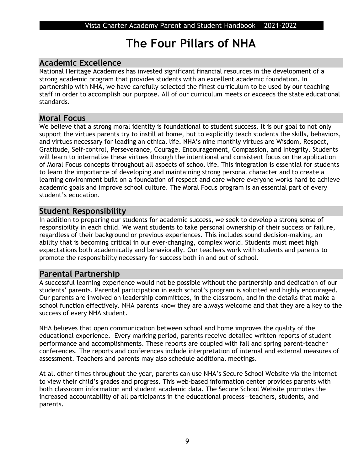## **The Four Pillars of NHA**

## **Academic Excellence**

National Heritage Academies has invested significant financial resources in the development of a strong academic program that provides students with an excellent academic foundation. In partnership with NHA, we have carefully selected the finest curriculum to be used by our teaching staff in order to accomplish our purpose. All of our curriculum meets or exceeds the state educational standards.

### **Moral Focus**

We believe that a strong moral identity is foundational to student success. It is our goal to not only support the virtues parents try to instill at home, but to explicitly teach students the skills, behaviors, and virtues necessary for leading an ethical life. NHA's nine monthly virtues are Wisdom, Respect, Gratitude, Self-control, Perseverance, Courage, Encouragement, Compassion, and Integrity. Students will learn to internalize these virtues through the intentional and consistent focus on the application of Moral Focus concepts throughout all aspects of school life. This integration is essential for students to learn the importance of developing and maintaining strong personal character and to create a learning environment built on a foundation of respect and care where everyone works hard to achieve academic goals and improve school culture. The Moral Focus program is an essential part of every student's education.

## **Student Responsibility**

In addition to preparing our students for academic success, we seek to develop a strong sense of responsibility in each child. We want students to take personal ownership of their success or failure, regardless of their background or previous experiences. This includes sound decision-making, an ability that is becoming critical in our ever-changing, complex world. Students must meet high expectations both academically and behaviorally. Our teachers work with students and parents to promote the responsibility necessary for success both in and out of school.

## **Parental Partnership**

A successful learning experience would not be possible without the partnership and dedication of our students' parents. Parental participation in each school's program is solicited and highly encouraged. Our parents are involved on leadership committees, in the classroom, and in the details that make a school function effectively. NHA parents know they are always welcome and that they are a key to the success of every NHA student.

NHA believes that open communication between school and home improves the quality of the educational experience. Every marking period, parents receive detailed written reports of student performance and accomplishments. These reports are coupled with fall and spring parent-teacher conferences. The reports and conferences include interpretation of internal and external measures of assessment. Teachers and parents may also schedule additional meetings.

At all other times throughout the year, parents can use NHA's Secure School Website via the Internet to view their child's grades and progress. This web-based information center provides parents with both classroom information and student academic data. The Secure School Website promotes the increased accountability of all participants in the educational process—teachers, students, and parents.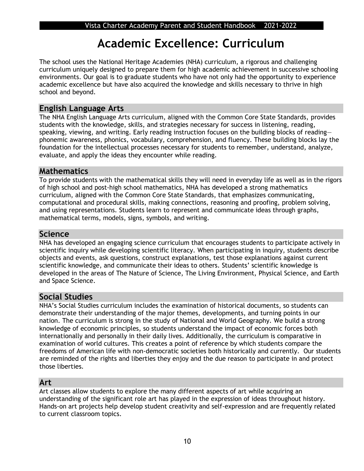## **Academic Excellence: Curriculum**

The school uses the National Heritage Academies (NHA) curriculum, a rigorous and challenging curriculum uniquely designed to prepare them for high academic achievement in successive schooling environments. Our goal is to graduate students who have not only had the opportunity to experience academic excellence but have also acquired the knowledge and skills necessary to thrive in high school and beyond.

## **English Language Arts**

The NHA English Language Arts curriculum, aligned with the Common Core State Standards, provides students with the knowledge, skills, and strategies necessary for success in listening, reading, speaking, viewing, and writing. Early reading instruction focuses on the building blocks of reading phonemic awareness, phonics, vocabulary, comprehension, and fluency. These building blocks lay the foundation for the intellectual processes necessary for students to remember, understand, analyze, evaluate, and apply the ideas they encounter while reading.

## **Mathematics**

To provide students with the mathematical skills they will need in everyday life as well as in the rigors of high school and post-high school mathematics, NHA has developed a strong mathematics curriculum, aligned with the Common Core State Standards, that emphasizes communicating, computational and procedural skills, making connections, reasoning and proofing, problem solving, and using representations. Students learn to represent and communicate ideas through graphs, mathematical terms, models, signs, symbols, and writing.

### **Science**

NHA has developed an engaging science curriculum that encourages students to participate actively in scientific inquiry while developing scientific literacy. When participating in inquiry, students describe objects and events, ask questions, construct explanations, test those explanations against current scientific knowledge, and communicate their ideas to others. Students' scientific knowledge is developed in the areas of The Nature of Science, The Living Environment, Physical Science, and Earth and Space Science.

## **Social Studies**

NHA's Social Studies curriculum includes the examination of historical documents, so students can demonstrate their understanding of the major themes, developments, and turning points in our nation. The curriculum is strong in the study of National and World Geography. We build a strong knowledge of economic principles, so students understand the impact of economic forces both internationally and personally in their daily lives. Additionally, the curriculum is comparative in examination of world cultures. This creates a point of reference by which students compare the freedoms of American life with non-democratic societies both historically and currently. Our students are reminded of the rights and liberties they enjoy and the due reason to participate in and protect those liberties.

## **Art**

Art classes allow students to explore the many different aspects of art while acquiring an understanding of the significant role art has played in the expression of ideas throughout history. Hands-on art projects help develop student creativity and self-expression and are frequently related to current classroom topics.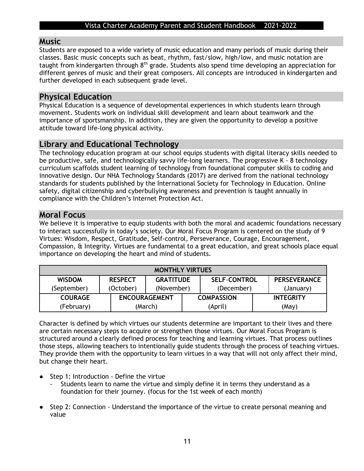## **Music**

Students are exposed to a wide variety of music education and many periods of music during their classes. Basic music concepts such as beat, rhythm, fast/slow, high/low, and music notation are taught from kindergarten through 8<sup>th</sup> grade. Students also spend time developing an appreciation for different genres of music and their great composers. All concepts are introduced in kindergarten and further developed in each subsequent grade level.

## **Physical Education**

Physical Education is a sequence of developmental experiences in which students learn through movement. Students work on individual skill development and learn about teamwork and the importance of sportsmanship. In addition, they are given the opportunity to develop a positive attitude toward life-long physical activity.

## **Library and Educational Technology**

The technology education program at our school equips students with digital literacy skills needed to be productive, safe, and technologically savvy life-long learners. The progressive K - 8 technology curriculum scaffolds student learning of technology from foundational computer skills to coding and innovative design. Our NHA Technology Standards (2017) are derived from the national technology standards for students published by the International Society for Technology in Education. Online safety, digital citizenship and cyberbullying awareness and prevention is taught annually in compliance with the Children's Internet Protection Act.

## **Moral Focus**

We believe it is imperative to equip students with both the moral and academic foundations necessary to interact successfully in today's society. Our Moral Focus Program is centered on the study of 9 Virtues: Wisdom, Respect, Gratitude, Self-control, Perseverance, Courage, Encouragement, Compassion, & Integrity. Virtues are fundamental to a great education, and great schools place equal importance on developing the heart and mind of students.

| <b>MONTHLY VIRTUES</b> |                                                           |                      |                          |                  |  |                     |
|------------------------|-----------------------------------------------------------|----------------------|--------------------------|------------------|--|---------------------|
| <b>WISDOM</b>          | <b>SELF-CONTROL</b><br><b>GRATITUDE</b><br><b>RESPECT</b> |                      |                          |                  |  | <b>PERSEVERANCE</b> |
| (September)            | (October)                                                 |                      | (November)<br>(December) |                  |  | (January)           |
| <b>COURAGE</b>         |                                                           | <b>ENCOURAGEMENT</b> | <b>COMPASSION</b>        |                  |  | <b>INTEGRITY</b>    |
| (February)             |                                                           | (March)              |                          | (April)<br>(May) |  |                     |

Character is defined by which virtues our students determine are important to their lives and there are certain necessary steps to acquire or strengthen those virtues. Our Moral Focus Program is structured around a clearly defined process for teaching and learning virtues. That process outlines those steps, allowing teachers to intentionally guide students through the process of teaching virtues. They provide them with the opportunity to learn virtues in a way that will not only affect their mind, but change their heart.

- Step 1: Introduction Define the virtue
	- Students learn to name the virtue and simply define it in terms they understand as a foundation for their journey. (focus for the 1st week of each month)
- Step 2: Connection Understand the importance of the virtue to create personal meaning and value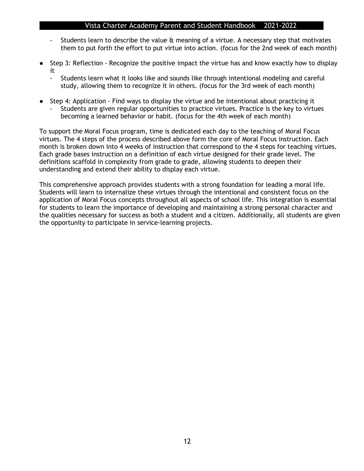- Students learn to describe the value & meaning of a virtue. A necessary step that motivates them to put forth the effort to put virtue into action. (focus for the 2nd week of each month)
- Step 3: Reflection Recognize the positive impact the virtue has and know exactly how to display it
	- Students learn what it looks like and sounds like through intentional modeling and careful study, allowing them to recognize it in others. (focus for the 3rd week of each month)
- Step 4: Application Find ways to display the virtue and be intentional about practicing it Students are given regular opportunities to practice virtues. Practice is the key to virtues becoming a learned behavior or habit. (focus for the 4th week of each month)

To support the Moral Focus program, time is dedicated each day to the teaching of Moral Focus virtues. The 4 steps of the process described above form the core of Moral Focus instruction. Each month is broken down into 4 weeks of instruction that correspond to the 4 steps for teaching virtues. Each grade bases instruction on a definition of each virtue designed for their grade level. The definitions scaffold in complexity from grade to grade, allowing students to deepen their understanding and extend their ability to display each virtue.

This comprehensive approach provides students with a strong foundation for leading a moral life. Students will learn to internalize these virtues through the intentional and consistent focus on the application of Moral Focus concepts throughout all aspects of school life. This integration is essential for students to learn the importance of developing and maintaining a strong personal character and the qualities necessary for success as both a student and a citizen. Additionally, all students are given the opportunity to participate in service-learning projects.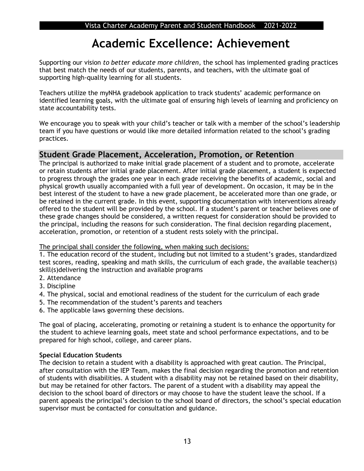## **Academic Excellence: Achievement**

Supporting our vision *to better educate more children*, the school has implemented grading practices that best match the needs of our students, parents, and teachers, with the ultimate goal of supporting high-quality learning for all students.

Teachers utilize the myNHA gradebook application to track students' academic performance on identified learning goals, with the ultimate goal of ensuring high levels of learning and proficiency on state accountability tests.

We encourage you to speak with your child's teacher or talk with a member of the school's leadership team if you have questions or would like more detailed information related to the school's grading practices.

## **Student Grade Placement, Acceleration, Promotion, or Retention**

The principal is authorized to make initial grade placement of a student and to promote, accelerate or retain students after initial grade placement. After initial grade placement, a student is expected to progress through the grades one year in each grade receiving the benefits of academic, social and physical growth usually accompanied with a full year of development. On occasion, it may be in the best interest of the student to have a new grade placement, be accelerated more than one grade, or be retained in the current grade. In this event, supporting documentation with interventions already offered to the student will be provided by the school. If a student's parent or teacher believes one of these grade changes should be considered, a written request for consideration should be provided to the principal, including the reasons for such consideration. The final decision regarding placement, acceleration, promotion, or retention of a student rests solely with the principal.

### The principal shall consider the following, when making such decisions:

1. The education record of the student, including but not limited to a student's grades, standardized test scores, reading, speaking and math skills, the curriculum of each grade, the available teacher(s) skill(s)delivering the instruction and available programs

- 2. Attendance
- 3. Discipline
- 4. The physical, social and emotional readiness of the student for the curriculum of each grade
- 5. The recommendation of the student's parents and teachers
- 6. The applicable laws governing these decisions.

The goal of placing, accelerating, promoting or retaining a student is to enhance the opportunity for the student to achieve learning goals, meet state and school performance expectations, and to be prepared for high school, college, and career plans.

### **Special Education Students**

The decision to retain a student with a disability is approached with great caution. The Principal, after consultation with the IEP Team, makes the final decision regarding the promotion and retention of students with disabilities. A student with a disability may not be retained based on their disability, but may be retained for other factors. The parent of a student with a disability may appeal the decision to the school board of directors or may choose to have the student leave the school. If a parent appeals the principal's decision to the school board of directors, the school's special education supervisor must be contacted for consultation and guidance.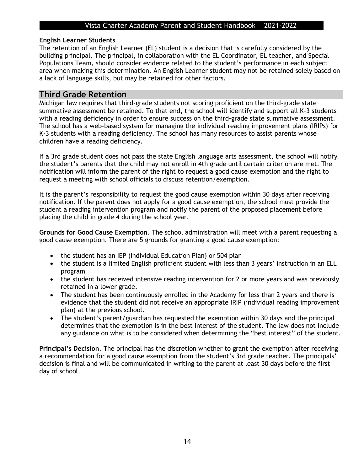### **English Learner Students**

The retention of an English Learner (EL) student is a decision that is carefully considered by the building principal. The principal, in collaboration with the EL Coordinator, EL teacher, and Special Populations Team, should consider evidence related to the student's performance in each subject area when making this determination. An English Learner student may not be retained solely based on a lack of language skills, but may be retained for other factors.

### **Third Grade Retention**

Michigan law requires that third-grade students not scoring proficient on the third-grade state summative assessment be retained. To that end, the school will identify and support all K-3 students with a reading deficiency in order to ensure success on the third-grade state summative assessment. The school has a web-based system for managing the individual reading improvement plans (IRIPs) for K-3 students with a reading deficiency. The school has many resources to assist parents whose children have a reading deficiency.

If a 3rd grade student does not pass the state English language arts assessment, the school will notify the student's parents that the child may not enroll in 4th grade until certain criterion are met. The notification will inform the parent of the right to request a good cause exemption and the right to request a meeting with school officials to discuss retention/exemption.

It is the parent's responsibility to request the good cause exemption within 30 days after receiving notification. If the parent does not apply for a good cause exemption, the school must provide the student a reading intervention program and notify the parent of the proposed placement before placing the child in grade 4 during the school year.

**Grounds for Good Cause Exemption**. The school administration will meet with a parent requesting a good cause exemption. There are 5 grounds for granting a good cause exemption:

- the student has an IEP (Individual Education Plan) or 504 plan
- the student is a limited English proficient student with less than 3 years' instruction in an ELL program
- the student has received intensive reading intervention for 2 or more years and was previously retained in a lower grade.
- The student has been continuously enrolled in the Academy for less than 2 years and there is evidence that the student did not receive an appropriate IRIP (individual reading improvement plan) at the previous school.
- The student's parent/guardian has requested the exemption within 30 days and the principal determines that the exemption is in the best interest of the student. The law does not include any guidance on what is to be considered when determining the "best interest" of the student.

**Principal's Decision**. The principal has the discretion whether to grant the exemption after receiving a recommendation for a good cause exemption from the student's 3rd grade teacher. The principals' decision is final and will be communicated in writing to the parent at least 30 days before the first day of school.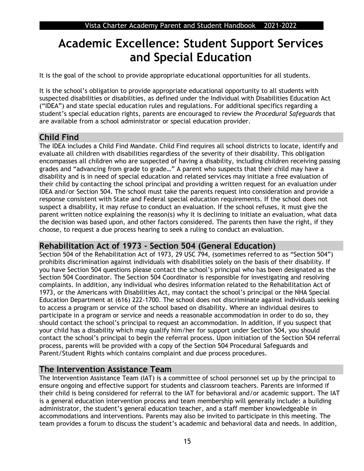## **Academic Excellence: Student Support Services and Special Education**

It is the goal of the school to provide appropriate educational opportunities for all students.

It is the school's obligation to provide appropriate educational opportunity to all students with suspected disabilities or disabilities, as defined under the Individual with Disabilities Education Act ("IDEA") and state special education rules and regulations. For additional specifics regarding a student's special education rights, parents are encouraged to review the *Procedural Safeguards* that are available from a school administrator or special education provider.

## **Child Find**

The IDEA includes a Child Find Mandate. Child Find requires all school districts to locate, identify and evaluate all children with disabilities regardless of the severity of their disability. This obligation encompasses all children who are suspected of having a disability, including children receiving passing grades and "advancing from grade to grade…" A parent who suspects that their child may have a disability and is in need of special education and related services may initiate a free evaluation of their child by contacting the school principal and providing a written request for an evaluation under IDEA and/or Section 504. The school must take the parents request into consideration and provide a response consistent with State and Federal special education requirements. If the school does not suspect a disability, it may refuse to conduct an evaluation. If the school refuses, it must give the parent written notice explaining the reason(s) why it is declining to initiate an evaluation, what data the decision was based upon, and other factors considered. The parents then have the right, if they choose, to request a due process hearing to seek a ruling to conduct an evaluation.

## **Rehabilitation Act of 1973 - Section 504 (General Education)**

Section 504 of the Rehabilitation Act of 1973, 29 USC 794, (sometimes referred to as "Section 504") prohibits discrimination against individuals with disabilities solely on the basis of their disability. If you have Section 504 questions please contact the school's principal who has been designated as the Section 504 Coordinator. The Section 504 Coordinator is responsible for investigating and resolving complaints. In addition, any individual who desires information related to the Rehabilitation Act of 1973, or the Americans with Disabilities Act, may contact the school's principal or the NHA Special Education Department at (616) 222-1700. The school does not discriminate against individuals seeking to access a program or service of the school based on disability. Where an individual desires to participate in a program or service and needs a reasonable accommodation in order to do so, they should contact the school's principal to request an accommodation. In addition, if you suspect that your child has a disability which may qualify him/her for support under Section 504, you should contact the school's principal to begin the referral process. Upon initiation of the Section 504 referral process, parents will be provided with a copy of the Section 504 Procedural Safeguards and Parent/Student Rights which contains complaint and due process procedures.

## **The Intervention Assistance Team**

The Intervention Assistance Team (IAT) is a committee of school personnel set up by the principal to ensure ongoing and effective support for students and classroom teachers. Parents are informed if their child is being considered for referral to the IAT for behavioral and/or academic support. The IAT is a general education intervention process and team membership will generally include: a building administrator, the student's general education teacher, and a staff member knowledgeable in accommodations and interventions. Parents may also be invited to participate in this meeting. The team provides a forum to discuss the student's academic and behavioral data and needs. In addition,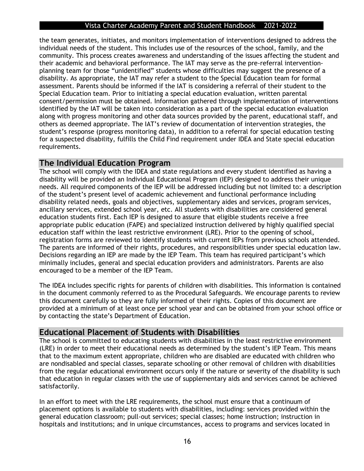the team generates, initiates, and monitors implementation of interventions designed to address the individual needs of the student. This includes use of the resources of the school, family, and the community. This process creates awareness and understanding of the issues affecting the student and their academic and behavioral performance. The IAT may serve as the pre-referral interventionplanning team for those "unidentified" students whose difficulties may suggest the presence of a disability. As appropriate, the IAT may refer a student to the Special Education team for formal assessment. Parents should be informed if the IAT is considering a referral of their student to the Special Education team. Prior to initiating a special education evaluation, written parental consent/permission must be obtained. Information gathered through implementation of interventions identified by the IAT will be taken into consideration as a part of the special education evaluation along with progress monitoring and other data sources provided by the parent, educational staff, and others as deemed appropriate. The IAT's review of documentation of intervention strategies, the student's response (progress monitoring data), in addition to a referral for special education testing for a suspected disability, fulfills the Child Find requirement under IDEA and State special education requirements.

## **The Individual Education Program**

The school will comply with the IDEA and state regulations and every student identified as having a disability will be provided an Individual Educational Program (IEP) designed to address their unique needs. All required components of the IEP will be addressed including but not limited to: a description of the student's present level of academic achievement and functional performance including disability related needs, goals and objectives, supplementary aides and services, program services, ancillary services, extended school year, etc. All students with disabilities are considered general education students first. Each IEP is designed to assure that eligible students receive a free appropriate public education (FAPE) and specialized instruction delivered by highly qualified special education staff within the least restrictive environment (LRE). Prior to the opening of school, registration forms are reviewed to identify students with current IEPs from previous schools attended. The parents are informed of their rights, procedures, and responsibilities under special education law. Decisions regarding an IEP are made by the IEP Team. This team has required participant's which minimally includes, general and special education providers and administrators. Parents are also encouraged to be a member of the IEP Team.

The IDEA includes specific rights for parents of children with disabilities. This information is contained in the document commonly referred to as the Procedural Safeguards. We encourage parents to review this document carefully so they are fully informed of their rights. Copies of this document are provided at a minimum of at least once per school year and can be obtained from your school office or by contacting the state's Department of Education.

## **Educational Placement of Students with Disabilities**

The school is committed to educating students with disabilities in the least restrictive environment (LRE) in order to meet their educational needs as determined by the student's IEP Team. This means that to the maximum extent appropriate, children who are disabled are educated with children who are nondisabled and special classes, separate schooling or other removal of children with disabilities from the regular educational environment occurs only if the nature or severity of the disability is such that education in regular classes with the use of supplementary aids and services cannot be achieved satisfactorily.

In an effort to meet with the LRE requirements, the school must ensure that a continuum of placement options is available to students with disabilities, including: services provided within the general education classroom; pull-out services; special classes; home instruction; instruction in hospitals and institutions; and in unique circumstances, access to programs and services located in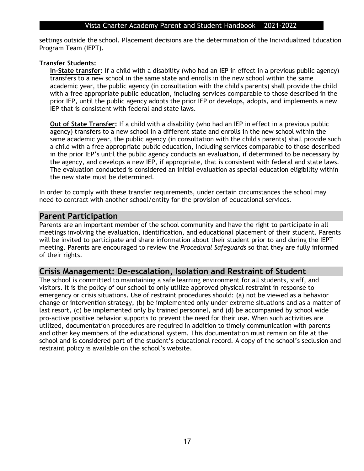settings outside the school. Placement decisions are the determination of the Individualized Education Program Team (IEPT).

### **Transfer Students:**

**In-State transfer:** If a child with a disability (who had an IEP in effect in a previous public agency) transfers to a new school in the same state and enrolls in the new school within the same academic year, the public agency (in consultation with the child's parents) shall provide the child with a free appropriate public education, including services comparable to those described in the prior IEP, until the public agency adopts the prior IEP or develops, adopts, and implements a new IEP that is consistent with federal and state laws.

**Out of State Transfer:** If a child with a disability (who had an IEP in effect in a previous public agency) transfers to a new school in a different state and enrolls in the new school within the same academic year, the public agency (in consultation with the child's parents) shall provide such a child with a free appropriate public education, including services comparable to those described in the prior IEP's until the public agency conducts an evaluation, if determined to be necessary by the agency, and develops a new IEP, if appropriate, that is consistent with federal and state laws. The evaluation conducted is considered an initial evaluation as special education eligibility within the new state must be determined.

In order to comply with these transfer requirements, under certain circumstances the school may need to contract with another school/entity for the provision of educational services.

### **Parent Participation**

Parents are an important member of the school community and have the right to participate in all meetings involving the evaluation, identification, and educational placement of their student. Parents will be invited to participate and share information about their student prior to and during the IEPT meeting. Parents are encouraged to review the *Procedural Safeguards* so that they are fully informed of their rights.

### **Crisis Management: De-escalation, Isolation and Restraint of Student**

The school is committed to maintaining a safe learning environment for all students, staff, and visitors. It is the policy of our school to only utilize approved physical restraint in response to emergency or crisis situations. Use of restraint procedures should: (a) not be viewed as a behavior change or intervention strategy, (b) be implemented only under extreme situations and as a matter of last resort, (c) be implemented only by trained personnel, and (d) be accompanied by school wide pro-active positive behavior supports to prevent the need for their use. When such activities are utilized, documentation procedures are required in addition to timely communication with parents and other key members of the educational system. This documentation must remain on file at the school and is considered part of the student's educational record. A copy of the school's seclusion and restraint policy is available on the school's website.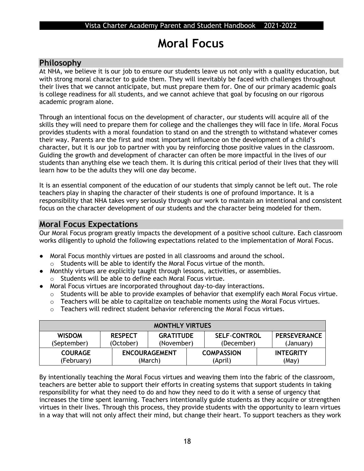## **Moral Focus**

## **Philosophy**

At NHA, we believe it is our job to ensure our students leave us not only with a quality education, but with strong moral character to guide them. They will inevitably be faced with challenges throughout their lives that we cannot anticipate, but must prepare them for. One of our primary academic goals is college readiness for all students, and we cannot achieve that goal by focusing on our rigorous academic program alone.

Through an intentional focus on the development of character, our students will acquire all of the skills they will need to prepare them for college and the challenges they will face in life. Moral Focus provides students with a moral foundation to stand on and the strength to withstand whatever comes their way. Parents are the first and most important influence on the development of a child's character, but it is our job to partner with you by reinforcing those positive values in the classroom. Guiding the growth and development of character can often be more impactful in the lives of our students than anything else we teach them. It is during this critical period of their lives that they will learn how to be the adults they will one day become.

It is an essential component of the education of our students that simply cannot be left out. The role teachers play in shaping the character of their students is one of profound importance. It is a responsibility that NHA takes very seriously through our work to maintain an intentional and consistent focus on the character development of our students and the character being modeled for them.

## **Moral Focus Expectations**

Our Moral Focus program greatly impacts the development of a positive school culture. Each classroom works diligently to uphold the following expectations related to the implementation of Moral Focus.

- Moral Focus monthly virtues are posted in all classrooms and around the school. o Students will be able to identify the Moral Focus virtue of the month.
- Monthly virtues are explicitly taught through lessons, activities, or assemblies.
	- o Students will be able to define each Moral Focus virtue.
- Moral Focus virtues are incorporated throughout day-to-day interactions.
	- o Students will be able to provide examples of behavior that exemplify each Moral Focus virtue.
	- o Teachers will be able to capitalize on teachable moments using the Moral Focus virtues.
	- o Teachers will redirect student behavior referencing the Moral Focus virtues.

| <b>MONTHLY VIRTUES</b>       |                                                                                                    |                                 |                              |                                  |                           |
|------------------------------|----------------------------------------------------------------------------------------------------|---------------------------------|------------------------------|----------------------------------|---------------------------|
| <b>WISDOM</b><br>(September) | <b>RESPECT</b><br><b>SELF-CONTROL</b><br><b>GRATITUDE</b><br>(October)<br>(November)<br>(December) |                                 |                              | <b>PERSEVERANCE</b><br>(January) |                           |
| <b>COURAGE</b><br>(February) |                                                                                                    | <b>ENCOURAGEMENT</b><br>(March) | <b>COMPASSION</b><br>(April) |                                  | <b>INTEGRITY</b><br>(May) |

By intentionally teaching the Moral Focus virtues and weaving them into the fabric of the classroom, teachers are better able to support their efforts in creating systems that support students in taking responsibility for what they need to do and how they need to do it with a sense of urgency that increases the time spent learning. Teachers intentionally guide students as they acquire or strengthen virtues in their lives. Through this process, they provide students with the opportunity to learn virtues in a way that will not only affect their mind, but change their heart. To support teachers as they work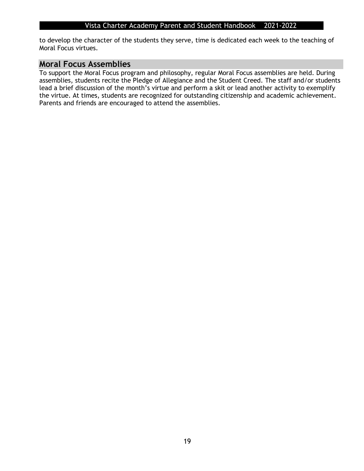to develop the character of the students they serve, time is dedicated each week to the teaching of Moral Focus virtues.

### **Moral Focus Assemblies**

To support the Moral Focus program and philosophy, regular Moral Focus assemblies are held. During assemblies, students recite the Pledge of Allegiance and the Student Creed. The staff and/or students lead a brief discussion of the month's virtue and perform a skit or lead another activity to exemplify the virtue. At times, students are recognized for outstanding citizenship and academic achievement. Parents and friends are encouraged to attend the assemblies.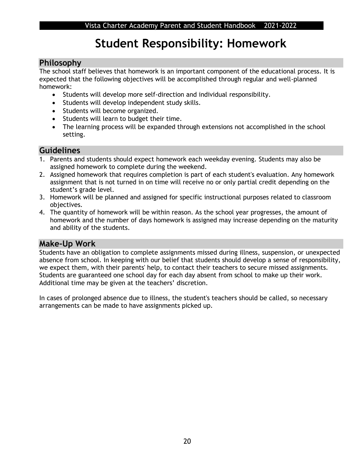## **Student Responsibility: Homework**

## **Philosophy**

The school staff believes that homework is an important component of the educational process. It is expected that the following objectives will be accomplished through regular and well-planned homework:

- Students will develop more self-direction and individual responsibility.
- Students will develop independent study skills.
- Students will become organized.
- Students will learn to budget their time.
- The learning process will be expanded through extensions not accomplished in the school setting.

## **Guidelines**

- 1. Parents and students should expect homework each weekday evening. Students may also be assigned homework to complete during the weekend.
- 2. Assigned homework that requires completion is part of each student's evaluation. Any homework assignment that is not turned in on time will receive no or only partial credit depending on the student's grade level.
- 3. Homework will be planned and assigned for specific instructional purposes related to classroom objectives.
- 4. The quantity of homework will be within reason. As the school year progresses, the amount of homework and the number of days homework is assigned may increase depending on the maturity and ability of the students.

## **Make-Up Work**

Students have an obligation to complete assignments missed during illness, suspension, or unexpected absence from school. In keeping with our belief that students should develop a sense of responsibility, we expect them, with their parents' help, to contact their teachers to secure missed assignments. Students are guaranteed one school day for each day absent from school to make up their work. Additional time may be given at the teachers' discretion.

In cases of prolonged absence due to illness, the student's teachers should be called, so necessary arrangements can be made to have assignments picked up.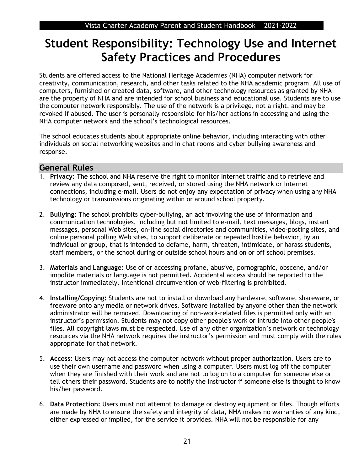## **Student Responsibility: Technology Use and Internet Safety Practices and Procedures**

Students are offered access to the National Heritage Academies (NHA) computer network for creativity, communication, research, and other tasks related to the NHA academic program. All use of computers, furnished or created data, software, and other technology resources as granted by NHA are the property of NHA and are intended for school business and educational use. Students are to use the computer network responsibly. The use of the network is a privilege, not a right, and may be revoked if abused. The user is personally responsible for his/her actions in accessing and using the NHA computer network and the school's technological resources.

The school educates students about appropriate online behavior, including interacting with other individuals on social networking websites and in chat rooms and cyber bullying awareness and response.

### **General Rules**

- 1. **Privacy:** The school and NHA reserve the right to monitor Internet traffic and to retrieve and review any data composed, sent, received, or stored using the NHA network or Internet connections, including e-mail. Users do not enjoy any expectation of privacy when using any NHA technology or transmissions originating within or around school property.
- 2. **Bullying:** The school prohibits cyber-bullying, an act involving the use of information and communication technologies, including but not limited to e-mail, text messages, blogs, instant messages, personal Web sites, on-line social directories and communities, video-posting sites, and online personal polling Web sites, to support deliberate or repeated hostile behavior, by an individual or group, that is intended to defame, harm, threaten, intimidate, or harass students, staff members, or the school during or outside school hours and on or off school premises.
- 3. **Materials and Language:** Use of or accessing profane, abusive, pornographic, obscene, and/or impolite materials or language is not permitted. Accidental access should be reported to the instructor immediately. Intentional circumvention of web-filtering is prohibited.
- 4. **Installing/Copying:** Students are not to install or download any hardware, software, shareware, or freeware onto any media or network drives. Software installed by anyone other than the network administrator will be removed. Downloading of non-work-related files is permitted only with an instructor's permission. Students may not copy other people's work or intrude into other people's files. All copyright laws must be respected. Use of any other organization's network or technology resources via the NHA network requires the instructor's permission and must comply with the rules appropriate for that network.
- 5. **Access:** Users may not access the computer network without proper authorization. Users are to use their own username and password when using a computer. Users must log off the computer when they are finished with their work and are not to log on to a computer for someone else or tell others their password. Students are to notify the instructor if someone else is thought to know his/her password.
- 6. **Data Protection:** Users must not attempt to damage or destroy equipment or files. Though efforts are made by NHA to ensure the safety and integrity of data, NHA makes no warranties of any kind, either expressed or implied, for the service it provides. NHA will not be responsible for any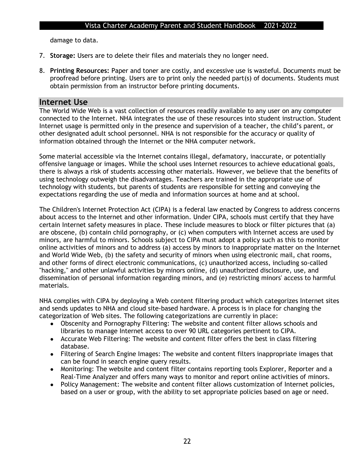damage to data.

- 7. **Storage:** Users are to delete their files and materials they no longer need.
- 8. **Printing Resources:** Paper and toner are costly, and excessive use is wasteful. Documents must be proofread before printing. Users are to print only the needed part(s) of documents. Students must obtain permission from an instructor before printing documents.

### **Internet Use**

The World Wide Web is a vast collection of resources readily available to any user on any computer connected to the Internet. NHA integrates the use of these resources into student instruction. Student Internet usage is permitted only in the presence and supervision of a teacher, the child's parent, or other designated adult school personnel. NHA is not responsible for the accuracy or quality of information obtained through the Internet or the NHA computer network.

Some material accessible via the Internet contains illegal, defamatory, inaccurate, or potentially offensive language or images. While the school uses Internet resources to achieve educational goals, there is always a risk of students accessing other materials. However, we believe that the benefits of using technology outweigh the disadvantages. Teachers are trained in the appropriate use of technology with students, but parents of students are responsible for setting and conveying the expectations regarding the use of media and information sources at home and at school.

The Children's Internet Protection Act (CIPA) is a federal law enacted by Congress to address concerns about access to the Internet and other information. Under CIPA, schools must certify that they have certain Internet safety measures in place. These include measures to block or filter pictures that (a) are obscene, (b) contain child pornography, or (c) when computers with Internet access are used by minors, are harmful to minors. Schools subject to CIPA must adopt a policy such as this to monitor online activities of minors and to address (a) access by minors to inappropriate matter on the Internet and World Wide Web, (b) the safety and security of minors when using electronic mail, chat rooms, and other forms of direct electronic communications, (c) unauthorized access, including so-called "hacking," and other unlawful activities by minors online, (d) unauthorized disclosure, use, and dissemination of personal information regarding minors, and (e) restricting minors' access to harmful materials.

NHA complies with CIPA by deploying a Web content filtering product which categorizes Internet sites and sends updates to NHA and cloud site-based hardware. A process is in place for changing the categorization of Web sites. The following categorizations are currently in place:

- Obscenity and Pornography Filtering: The website and content filter allows schools and libraries to manage Internet access to over 90 URL categories pertinent to CIPA.
- Accurate Web Filtering: The website and content filter offers the best in class filtering database.
- Filtering of Search Engine Images: The website and content filters inappropriate images that can be found in search engine query results.
- Monitoring: The website and content filter contains reporting tools Explorer, Reporter and a Real-Time Analyzer and offers many ways to monitor and report online activities of minors.
- Policy Management: The website and content filter allows customization of Internet policies, based on a user or group, with the ability to set appropriate policies based on age or need.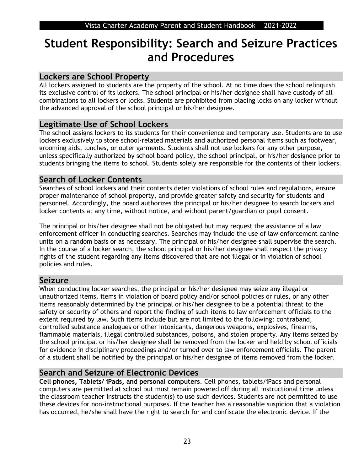## **Student Responsibility: Search and Seizure Practices and Procedures**

## **Lockers are School Property**

All lockers assigned to students are the property of the school. At no time does the school relinquish its exclusive control of its lockers. The school principal or his/her designee shall have custody of all combinations to all lockers or locks. Students are prohibited from placing locks on any locker without the advanced approval of the school principal or his/her designee.

## **Legitimate Use of School Lockers**

The school assigns lockers to its students for their convenience and temporary use. Students are to use lockers exclusively to store school-related materials and authorized personal items such as footwear, grooming aids, lunches, or outer garments. Students shall not use lockers for any other purpose, unless specifically authorized by school board policy, the school principal, or his/her designee prior to students bringing the items to school. Students solely are responsible for the contents of their lockers.

## **Search of Locker Contents**

Searches of school lockers and their contents deter violations of school rules and regulations, ensure proper maintenance of school property, and provide greater safety and security for students and personnel. Accordingly, the board authorizes the principal or his/her designee to search lockers and locker contents at any time, without notice, and without parent/guardian or pupil consent.

The principal or his/her designee shall not be obligated but may request the assistance of a law enforcement officer in conducting searches. Searches may include the use of law enforcement canine units on a random basis or as necessary. The principal or his/her designee shall supervise the search. In the course of a locker search, the school principal or his/her designee shall respect the privacy rights of the student regarding any items discovered that are not illegal or in violation of school policies and rules.

## **Seizure**

When conducting locker searches, the principal or his/her designee may seize any illegal or unauthorized items, items in violation of board policy and/or school policies or rules, or any other items reasonably determined by the principal or his/her designee to be a potential threat to the safety or security of others and report the finding of such items to law enforcement officials to the extent required by law. Such items include but are not limited to the following: contraband, controlled substance analogues or other intoxicants, dangerous weapons, explosives, firearms, flammable materials, illegal controlled substances, poisons, and stolen property. Any items seized by the school principal or his/her designee shall be removed from the locker and held by school officials for evidence in disciplinary proceedings and/or turned over to law enforcement officials. The parent of a student shall be notified by the principal or his/her designee of items removed from the locker.

## **Search and Seizure of Electronic Devices**

**Cell phones, Tablets/ iPads, and personal computers**. Cell phones, tablets/iPads and personal computers are permitted at school but must remain powered off during all instructional time unless the classroom teacher instructs the student(s) to use such devices. Students are not permitted to use these devices for non-instructional purposes. If the teacher has a reasonable suspicion that a violation has occurred, he/she shall have the right to search for and confiscate the electronic device. If the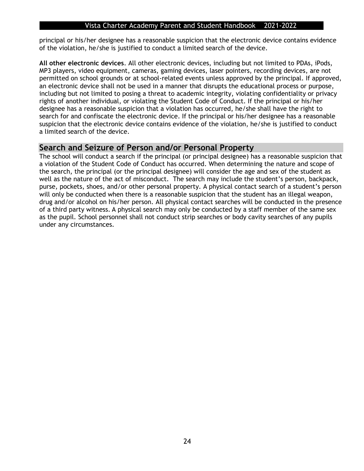principal or his/her designee has a reasonable suspicion that the electronic device contains evidence of the violation, he/she is justified to conduct a limited search of the device.

**All other electronic devices**. All other electronic devices, including but not limited to PDAs, iPods, MP3 players, video equipment, cameras, gaming devices, laser pointers, recording devices, are not permitted on school grounds or at school-related events unless approved by the principal. If approved, an electronic device shall not be used in a manner that disrupts the educational process or purpose, including but not limited to posing a threat to academic integrity, violating confidentiality or privacy rights of another individual, or violating the Student Code of Conduct. If the principal or his/her designee has a reasonable suspicion that a violation has occurred, he/she shall have the right to search for and confiscate the electronic device. If the principal or his/her designee has a reasonable suspicion that the electronic device contains evidence of the violation, he/she is justified to conduct a limited search of the device.

### **Search and Seizure of Person and/or Personal Property**

The school will conduct a search if the principal (or principal designee) has a reasonable suspicion that a violation of the Student Code of Conduct has occurred. When determining the nature and scope of the search, the principal (or the principal designee) will consider the age and sex of the student as well as the nature of the act of misconduct. The search may include the student's person, backpack, purse, pockets, shoes, and/or other personal property. A physical contact search of a student's person will only be conducted when there is a reasonable suspicion that the student has an illegal weapon, drug and/or alcohol on his/her person. All physical contact searches will be conducted in the presence of a third party witness. A physical search may only be conducted by a staff member of the same sex as the pupil. School personnel shall not conduct strip searches or body cavity searches of any pupils under any circumstances.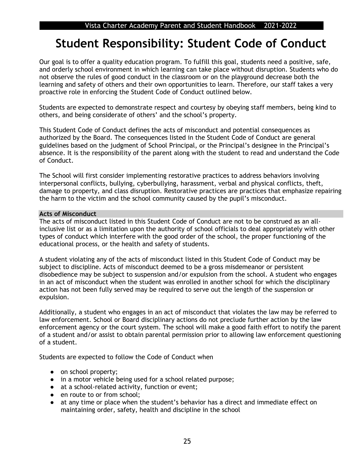## **Student Responsibility: Student Code of Conduct**

Our goal is to offer a quality education program. To fulfill this goal, students need a positive, safe, and orderly school environment in which learning can take place without disruption. Students who do not observe the rules of good conduct in the classroom or on the playground decrease both the learning and safety of others and their own opportunities to learn. Therefore, our staff takes a very proactive role in enforcing the Student Code of Conduct outlined below.

Students are expected to demonstrate respect and courtesy by obeying staff members, being kind to others, and being considerate of others' and the school's property.

This Student Code of Conduct defines the acts of misconduct and potential consequences as authorized by the Board. The consequences listed in the Student Code of Conduct are general guidelines based on the judgment of School Principal, or the Principal's designee in the Principal's absence. It is the responsibility of the parent along with the student to read and understand the Code of Conduct.

The School will first consider implementing restorative practices to address behaviors involving interpersonal conflicts, bullying, cyberbullying, harassment, verbal and physical conflicts, theft, damage to property, and class disruption. Restorative practices are practices that emphasize repairing the harm to the victim and the school community caused by the pupil's misconduct.

### **Acts of Misconduct**

The acts of misconduct listed in this Student Code of Conduct are not to be construed as an allinclusive list or as a limitation upon the authority of school officials to deal appropriately with other types of conduct which interfere with the good order of the school, the proper functioning of the educational process, or the health and safety of students.

A student violating any of the acts of misconduct listed in this Student Code of Conduct may be subject to discipline. Acts of misconduct deemed to be a gross misdemeanor or persistent disobedience may be subject to suspension and/or expulsion from the school. A student who engages in an act of misconduct when the student was enrolled in another school for which the disciplinary action has not been fully served may be required to serve out the length of the suspension or expulsion.

Additionally, a student who engages in an act of misconduct that violates the law may be referred to law enforcement. School or Board disciplinary actions do not preclude further action by the law enforcement agency or the court system. The school will make a good faith effort to notify the parent of a student and/or assist to obtain parental permission prior to allowing law enforcement questioning of a student.

Students are expected to follow the Code of Conduct when

- on school property;
- in a motor vehicle being used for a school related purpose;
- at a school-related activity, function or event;
- en route to or from school;
- at any time or place when the student's behavior has a direct and immediate effect on maintaining order, safety, health and discipline in the school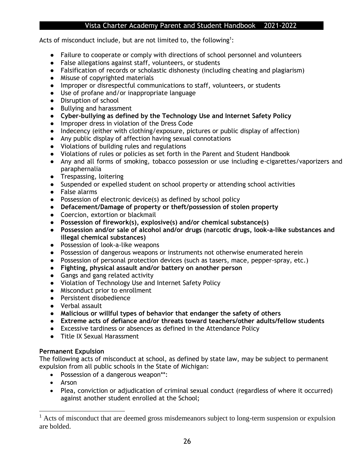Acts of misconduct include, but are not limited to, the following<sup>1</sup>:

- Failure to cooperate or comply with directions of school personnel and volunteers
- False allegations against staff, volunteers, or students
- Falsification of records or scholastic dishonesty (including cheating and plagiarism)
- Misuse of copyrighted materials
- Improper or disrespectful communications to staff, volunteers, or students
- Use of profane and/or inappropriate language
- Disruption of school
- Bullying and harassment
- **Cyber-bullying as defined by the Technology Use and Internet Safety Policy**
- Improper dress in violation of the Dress Code
- Indecency (either with clothing/exposure, pictures or public display of affection)
- Any public display of affection having sexual connotations
- Violations of building rules and regulations
- Violations of rules or policies as set forth in the Parent and Student Handbook
- Any and all forms of smoking, tobacco possession or use including e-cigarettes/vaporizers and paraphernalia
- Trespassing, loitering
- Suspended or expelled student on school property or attending school activities
- False alarms
- Possession of electronic device(s) as defined by school policy
- **Defacement/Damage of property or theft/possession of stolen property**
- Coercion, extortion or blackmail
- **Possession of firework(s), explosive(s) and/or chemical substance(s)**
- **Possession and/or sale of alcohol and/or drugs (narcotic drugs, look-a-like substances and illegal chemical substances)**
- Possession of look-a-like weapons
- Possession of dangerous weapons or instruments not otherwise enumerated herein
- Possession of personal protection devices (such as tasers, mace, pepper-spray, etc.)
- **Fighting, physical assault and/or battery on another person**
- Gangs and gang related activity
- Violation of Technology Use and Internet Safety Policy
- Misconduct prior to enrollment
- Persistent disobedience
- Verbal assault
- **Malicious or willful types of behavior that endanger the safety of others**
- **Extreme acts of defiance and/or threats toward teachers/other adults/fellow students**
- Excessive tardiness or absences as defined in the Attendance Policy
- Title IX Sexual Harassment

### **Permanent Expulsion**

The following acts of misconduct at school, as defined by state law, may be subject to permanent expulsion from all public schools in the State of Michigan:

- Possession of a dangerous weapon\*\*:
- Arson
- Plea, conviction or adjudication of criminal sexual conduct (regardless of where it occurred) against another student enrolled at the School;

 $<sup>1</sup>$  Acts of misconduct that are deemed gross misdemeanors subject to long-term suspension or expulsion</sup> are bolded.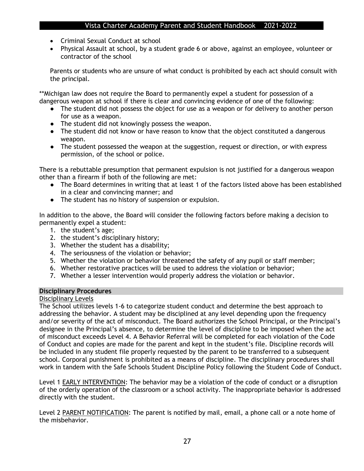- Criminal Sexual Conduct at school
- Physical Assault at school, by a student grade 6 or above, against an employee, volunteer or contractor of the school

Parents or students who are unsure of what conduct is prohibited by each act should consult with the principal.

\*\*Michigan law does not require the Board to permanently expel a student for possession of a dangerous weapon at school if there is clear and convincing evidence of one of the following:

- The student did not possess the object for use as a weapon or for delivery to another person for use as a weapon.
- The student did not knowingly possess the weapon.
- The student did not know or have reason to know that the object constituted a dangerous weapon.
- The student possessed the weapon at the suggestion, request or direction, or with express permission, of the school or police.

There is a rebuttable presumption that permanent expulsion is not justified for a dangerous weapon other than a firearm if both of the following are met:

- The Board determines in writing that at least 1 of the factors listed above has been established in a clear and convincing manner; and
- The student has no history of suspension or expulsion.

In addition to the above, the Board will consider the following factors before making a decision to permanently expel a student:

- 1. the student's age;
- 2. the student's disciplinary history;
- 3. Whether the student has a disability;
- 4. The seriousness of the violation or behavior;
- 5. Whether the violation or behavior threatened the safety of any pupil or staff member;
- 6. Whether restorative practices will be used to address the violation or behavior;
- 7. Whether a lesser intervention would properly address the violation or behavior.

### **Disciplinary Procedures**

### Disciplinary Levels

The School utilizes levels 1-6 to categorize student conduct and determine the best approach to addressing the behavior. A student may be disciplined at any level depending upon the frequency and/or severity of the act of misconduct. The Board authorizes the School Principal, or the Principal's designee in the Principal's absence, to determine the level of discipline to be imposed when the act of misconduct exceeds Level 4. A Behavior Referral will be completed for each violation of the Code of Conduct and copies are made for the parent and kept in the student's file. Discipline records will be included in any student file properly requested by the parent to be transferred to a subsequent school. Corporal punishment is prohibited as a means of discipline. The disciplinary procedures shall work in tandem with the Safe Schools Student Discipline Policy following the Student Code of Conduct.

Level 1 EARLY INTERVENTION: The behavior may be a violation of the code of conduct or a disruption of the orderly operation of the classroom or a school activity. The inappropriate behavior is addressed directly with the student.

Level 2 PARENT NOTIFICATION: The parent is notified by mail, email, a phone call or a note home of the misbehavior.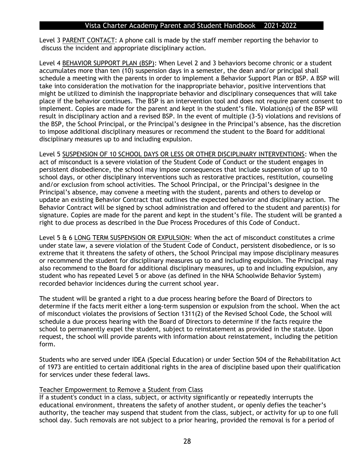Level 3 PARENT CONTACT: A phone call is made by the staff member reporting the behavior to discuss the incident and appropriate disciplinary action.

Level 4 BEHAVIOR SUPPORT PLAN (BSP): When Level 2 and 3 behaviors become chronic or a student accumulates more than ten (10) suspension days in a semester, the dean and/or principal shall schedule a meeting with the parents in order to implement a Behavior Support Plan or BSP. A BSP will take into consideration the motivation for the inappropriate behavior, positive interventions that might be utilized to diminish the inappropriate behavior and disciplinary consequences that will take place if the behavior continues. The BSP is an intervention tool and does not require parent consent to implement. Copies are made for the parent and kept in the student's file. Violation(s) of the BSP will result in disciplinary action and a revised BSP. In the event of multiple (3-5) violations and revisions of the BSP, the School Principal, or the Principal's designee in the Principal's absence, has the discretion to impose additional disciplinary measures or recommend the student to the Board for additional disciplinary measures up to and including expulsion.

Level 5 SUSPENSION OF 10 SCHOOL DAYS OR LESS OR OTHER DISCIPLINARY INTERVENTIONS: When the act of misconduct is a severe violation of the Student Code of Conduct or the student engages in persistent disobedience, the school may impose consequences that include suspension of up to 10 school days, or other disciplinary interventions such as restorative practices, restitution, counseling and/or exclusion from school activities. The School Principal, or the Principal's designee in the Principal's absence, may convene a meeting with the student, parents and others to develop or update an existing Behavior Contract that outlines the expected behavior and disciplinary action. The Behavior Contract will be signed by school administration and offered to the student and parent(s) for signature. Copies are made for the parent and kept in the student's file. The student will be granted a right to due process as described in the Due Process Procedures of this Code of Conduct.

Level 5 & 6 LONG TERM SUSPENSION OR EXPULSION: When the act of misconduct constitutes a crime under state law, a severe violation of the Student Code of Conduct, persistent disobedience, or is so extreme that it threatens the safety of others, the School Principal may impose disciplinary measures or recommend the student for disciplinary measures up to and including expulsion. The Principal may also recommend to the Board for additional disciplinary measures, up to and including expulsion, any student who has repeated Level 5 or above (as defined in the NHA Schoolwide Behavior System) recorded behavior incidences during the current school year.

The student will be granted a right to a due process hearing before the Board of Directors to determine if the facts merit either a long-term suspension or expulsion from the school. When the act of misconduct violates the provisions of Section 1311(2) of the Revised School Code, the School will schedule a due process hearing with the Board of Directors to determine if the facts require the school to permanently expel the student, subject to reinstatement as provided in the statute. Upon request, the school will provide parents with information about reinstatement, including the petition form.

Students who are served under IDEA (Special Education) or under Section 504 of the Rehabilitation Act of 1973 are entitled to certain additional rights in the area of discipline based upon their qualification for services under these federal laws.

#### Teacher Empowerment to Remove a Student from Class

If a student's conduct in a class, subject, or activity significantly or repeatedly interrupts the educational environment, threatens the safety of another student, or openly defies the teacher's authority, the teacher may suspend that student from the class, subject, or activity for up to one full school day. Such removals are not subject to a prior hearing, provided the removal is for a period of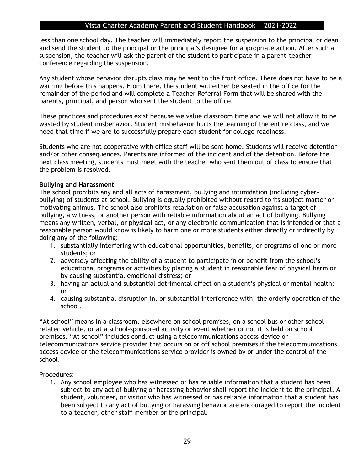less than one school day. The teacher will immediately report the suspension to the principal or dean and send the student to the principal or the principal's designee for appropriate action. After such a suspension, the teacher will ask the parent of the student to participate in a parent-teacher conference regarding the suspension.

Any student whose behavior disrupts class may be sent to the front office. There does not have to be a warning before this happens. From there, the student will either be seated in the office for the remainder of the period and will complete a Teacher Referral Form that will be shared with the parents, principal, and person who sent the student to the office.

These practices and procedures exist because we value classroom time and we will not allow it to be wasted by student misbehavior. Student misbehavior hurts the learning of the entire class, and we need that time if we are to successfully prepare each student for college readiness.

Students who are not cooperative with office staff will be sent home. Students will receive detention and/or other consequences. Parents are informed of the incident and of the detention. Before the next class meeting, students must meet with the teacher who sent them out of class to ensure that the problem is resolved.

### **Bullying and Harassment**

The school prohibits any and all acts of harassment, bullying and intimidation (including cyberbullying) of students at school. Bullying is equally prohibited without regard to its subject matter or motivating animus. The school also prohibits retaliation or false accusation against a target of bullying, a witness, or another person with reliable information about an act of bullying. Bullying means any written, verbal, or physical act, or any electronic communication that is intended or that a reasonable person would know is likely to harm one or more students either directly or indirectly by doing any of the following:

- 1. substantially interfering with educational opportunities, benefits, or programs of one or more students; or
- 2. adversely affecting the ability of a student to participate in or benefit from the school's educational programs or activities by placing a student in reasonable fear of physical harm or by causing substantial emotional distress; or
- 3. having an actual and substantial detrimental effect on a student's physical or mental health; or
- 4. causing substantial disruption in, or substantial interference with, the orderly operation of the school.

"At school" means in a classroom, elsewhere on school premises, on a school bus or other schoolrelated vehicle, or at a school-sponsored activity or event whether or not it is held on school premises. "At school" includes conduct using a telecommunications access device or telecommunications service provider that occurs on or off school premises if the telecommunications access device or the telecommunications service provider is owned by or under the control of the school.

#### Procedures:

1. Any school employee who has witnessed or has reliable information that a student has been subject to any act of bullying or harassing behavior shall report the incident to the principal. A student, volunteer, or visitor who has witnessed or has reliable information that a student has been subject to any act of bullying or harassing behavior are encouraged to report the incident to a teacher, other staff member or the principal.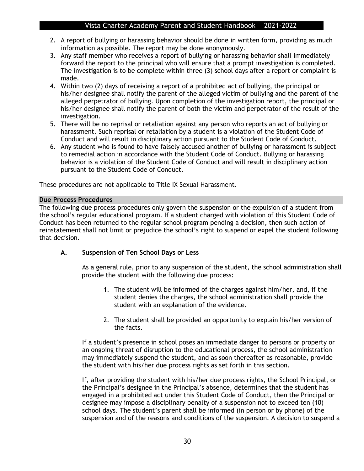- 2. A report of bullying or harassing behavior should be done in written form, providing as much information as possible. The report may be done anonymously.
- 3. Any staff member who receives a report of bullying or harassing behavior shall immediately forward the report to the principal who will ensure that a prompt investigation is completed. The investigation is to be complete within three (3) school days after a report or complaint is made.
- 4. Within two (2) days of receiving a report of a prohibited act of bullying, the principal or his/her designee shall notify the parent of the alleged victim of bullying and the parent of the alleged perpetrator of bullying. Upon completion of the investigation report, the principal or his/her designee shall notify the parent of both the victim and perpetrator of the result of the investigation.
- 5. There will be no reprisal or retaliation against any person who reports an act of bullying or harassment. Such reprisal or retaliation by a student is a violation of the Student Code of Conduct and will result in disciplinary action pursuant to the Student Code of Conduct.
- 6. Any student who is found to have falsely accused another of bullying or harassment is subject to remedial action in accordance with the Student Code of Conduct. Bullying or harassing behavior is a violation of the Student Code of Conduct and will result in disciplinary action pursuant to the Student Code of Conduct.

These procedures are not applicable to Title IX Sexual Harassment.

### **Due Process Procedures**

The following due process procedures only govern the suspension or the expulsion of a student from the school's regular educational program. If a student charged with violation of this Student Code of Conduct has been returned to the regular school program pending a decision, then such action of reinstatement shall not limit or prejudice the school's right to suspend or expel the student following that decision.

### **A. Suspension of Ten School Days or Less**

As a general rule, prior to any suspension of the student, the school administration shall provide the student with the following due process:

- 1. The student will be informed of the charges against him/her, and, if the student denies the charges, the school administration shall provide the student with an explanation of the evidence.
- 2. The student shall be provided an opportunity to explain his/her version of the facts.

If a student's presence in school poses an immediate danger to persons or property or an ongoing threat of disruption to the educational process, the school administration may immediately suspend the student, and as soon thereafter as reasonable, provide the student with his/her due process rights as set forth in this section.

If, after providing the student with his/her due process rights, the School Principal, or the Principal's designee in the Principal's absence, determines that the student has engaged in a prohibited act under this Student Code of Conduct, then the Principal or designee may impose a disciplinary penalty of a suspension not to exceed ten (10) school days. The student's parent shall be informed (in person or by phone) of the suspension and of the reasons and conditions of the suspension. A decision to suspend a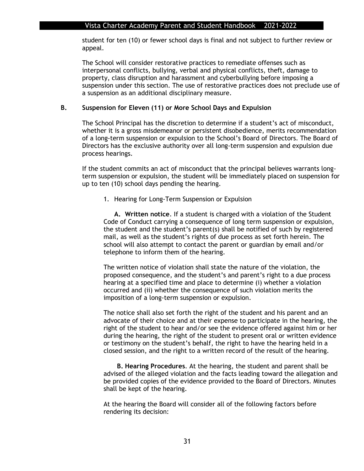student for ten (10) or fewer school days is final and not subject to further review or appeal.

The School will consider restorative practices to remediate offenses such as interpersonal conflicts, bullying, verbal and physical conflicts, theft, damage to property, class disruption and harassment and cyberbullying before imposing a suspension under this section. The use of restorative practices does not preclude use of a suspension as an additional disciplinary measure.

### **B. Suspension for Eleven (11) or More School Days and Expulsion**

The School Principal has the discretion to determine if a student's act of misconduct, whether it is a gross misdemeanor or persistent disobedience, merits recommendation of a long-term suspension or expulsion to the School's Board of Directors. The Board of Directors has the exclusive authority over all long-term suspension and expulsion due process hearings.

If the student commits an act of misconduct that the principal believes warrants longterm suspension or expulsion, the student will be immediately placed on suspension for up to ten (10) school days pending the hearing.

1. Hearing for Long-Term Suspension or Expulsion

**A. Written notice**. If a student is charged with a violation of the Student Code of Conduct carrying a consequence of long term suspension or expulsion, the student and the student's parent(s) shall be notified of such by registered mail, as well as the student's rights of due process as set forth herein. The school will also attempt to contact the parent or guardian by email and/or telephone to inform them of the hearing.

The written notice of violation shall state the nature of the violation, the proposed consequence, and the student's and parent's right to a due process hearing at a specified time and place to determine (i) whether a violation occurred and (ii) whether the consequence of such violation merits the imposition of a long-term suspension or expulsion.

The notice shall also set forth the right of the student and his parent and an advocate of their choice and at their expense to participate in the hearing, the right of the student to hear and/or see the evidence offered against him or her during the hearing, the right of the student to present oral or written evidence or testimony on the student's behalf, the right to have the hearing held in a closed session, and the right to a written record of the result of the hearing.

**B. Hearing Procedures**. At the hearing, the student and parent shall be advised of the alleged violation and the facts leading toward the allegation and be provided copies of the evidence provided to the Board of Directors. Minutes shall be kept of the hearing.

At the hearing the Board will consider all of the following factors before rendering its decision: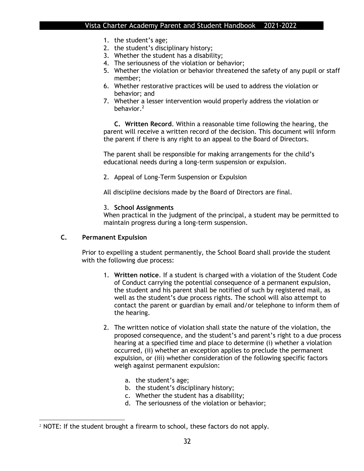- 1. the student's age;
- 2. the student's disciplinary history;
- 3. Whether the student has a disability;
- 4. The seriousness of the violation or behavior;
- 5. Whether the violation or behavior threatened the safety of any pupil or staff member;
- 6. Whether restorative practices will be used to address the violation or behavior; and
- 7. Whether a lesser intervention would properly address the violation or behavior.<sup>2</sup>

**C. Written Record**. Within a reasonable time following the hearing, the parent will receive a written record of the decision. This document will inform the parent if there is any right to an appeal to the Board of Directors.

The parent shall be responsible for making arrangements for the child's educational needs during a long-term suspension or expulsion.

2. Appeal of Long-Term Suspension or Expulsion

All discipline decisions made by the Board of Directors are final.

### 3. **School Assignments**

When practical in the judgment of the principal, a student may be permitted to maintain progress during a long-term suspension.

### **C. Permanent Expulsion**

Prior to expelling a student permanently, the School Board shall provide the student with the following due process:

- 1. **Written notice**. If a student is charged with a violation of the Student Code of Conduct carrying the potential consequence of a permanent expulsion, the student and his parent shall be notified of such by registered mail, as well as the student's due process rights. The school will also attempt to contact the parent or guardian by email and/or telephone to inform them of the hearing.
- 2. The written notice of violation shall state the nature of the violation, the proposed consequence, and the student's and parent's right to a due process hearing at a specified time and place to determine (i) whether a violation occurred, (ii) whether an exception applies to preclude the permanent expulsion, or (iii) whether consideration of the following specific factors weigh against permanent expulsion:
	- a. the student's age;
	- b. the student's disciplinary history;
	- c. Whether the student has a disability;
	- d. The seriousness of the violation or behavior;

 $2$  NOTE: If the student brought a firearm to school, these factors do not apply.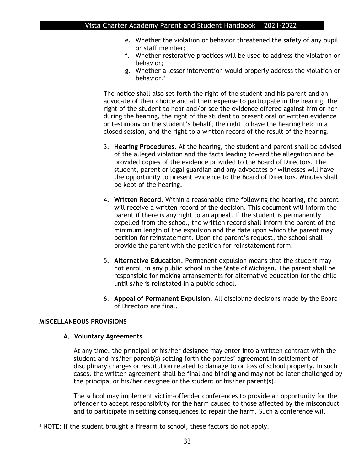- e. Whether the violation or behavior threatened the safety of any pupil or staff member;
- f. Whether restorative practices will be used to address the violation or behavior;
- g. Whether a lesser intervention would properly address the violation or behavior. $3$

The notice shall also set forth the right of the student and his parent and an advocate of their choice and at their expense to participate in the hearing, the right of the student to hear and/or see the evidence offered against him or her during the hearing, the right of the student to present oral or written evidence or testimony on the student's behalf, the right to have the hearing held in a closed session, and the right to a written record of the result of the hearing.

- 3. **Hearing Procedures**. At the hearing, the student and parent shall be advised of the alleged violation and the facts leading toward the allegation and be provided copies of the evidence provided to the Board of Directors. The student, parent or legal guardian and any advocates or witnesses will have the opportunity to present evidence to the Board of Directors. Minutes shall be kept of the hearing.
- 4. **Written Record**. Within a reasonable time following the hearing, the parent will receive a written record of the decision. This document will inform the parent if there is any right to an appeal. If the student is permanently expelled from the school, the written record shall inform the parent of the minimum length of the expulsion and the date upon which the parent may petition for reinstatement. Upon the parent's request, the school shall provide the parent with the petition for reinstatement form.
- 5. **Alternative Education**. Permanent expulsion means that the student may not enroll in any public school in the State of Michigan. The parent shall be responsible for making arrangements for alternative education for the child until s/he is reinstated in a public school.
- 6. **Appeal of Permanent Expulsion.** All discipline decisions made by the Board of Directors are final.

### **MISCELLANEOUS PROVISIONS**

### **A. Voluntary Agreements**

At any time, the principal or his/her designee may enter into a written contract with the student and his/her parent(s) setting forth the parties' agreement in settlement of disciplinary charges or restitution related to damage to or loss of school property. In such cases, the written agreement shall be final and binding and may not be later challenged by the principal or his/her designee or the student or his/her parent(s).

The school may implement victim-offender conferences to provide an opportunity for the offender to accept responsibility for the harm caused to those affected by the misconduct and to participate in setting consequences to repair the harm. Such a conference will

<sup>&</sup>lt;sup>3</sup> NOTE: If the student brought a firearm to school, these factors do not apply.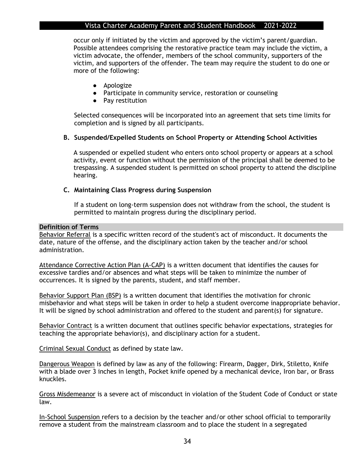occur only if initiated by the victim and approved by the victim's parent/guardian. Possible attendees comprising the restorative practice team may include the victim, a victim advocate, the offender, members of the school community, supporters of the victim, and supporters of the offender. The team may require the student to do one or more of the following:

- Apologize
- Participate in community service, restoration or counseling
- Pay restitution

Selected consequences will be incorporated into an agreement that sets time limits for completion and is signed by all participants.

### **B. Suspended/Expelled Students on School Property or Attending School Activities**

A suspended or expelled student who enters onto school property or appears at a school activity, event or function without the permission of the principal shall be deemed to be trespassing. A suspended student is permitted on school property to attend the discipline hearing.

### **C. Maintaining Class Progress during Suspension**

If a student on long-term suspension does not withdraw from the school, the student is permitted to maintain progress during the disciplinary period.

#### **Definition of Terms**

Behavior Referral is a specific written record of the student's act of misconduct. It documents the date, nature of the offense, and the disciplinary action taken by the teacher and/or school administration.

Attendance Corrective Action Plan (A-CAP) is a written document that identifies the causes for excessive tardies and/or absences and what steps will be taken to minimize the number of occurrences. It is signed by the parents, student, and staff member.

Behavior Support Plan (BSP) is a written document that identifies the motivation for chronic misbehavior and what steps will be taken in order to help a student overcome inappropriate behavior. It will be signed by school administration and offered to the student and parent(s) for signature.

Behavior Contract is a written document that outlines specific behavior expectations, strategies for teaching the appropriate behavior(s), and disciplinary action for a student.

Criminal Sexual Conduct as defined by state law.

Dangerous Weapon is defined by law as any of the following: Firearm, Dagger, Dirk, Stiletto, Knife with a blade over 3 inches in length, Pocket knife opened by a mechanical device, Iron bar, or Brass knuckles.

Gross Misdemeanor is a severe act of misconduct in violation of the Student Code of Conduct or state law.

In-School Suspension refers to a decision by the teacher and/or other school official to temporarily remove a student from the mainstream classroom and to place the student in a segregated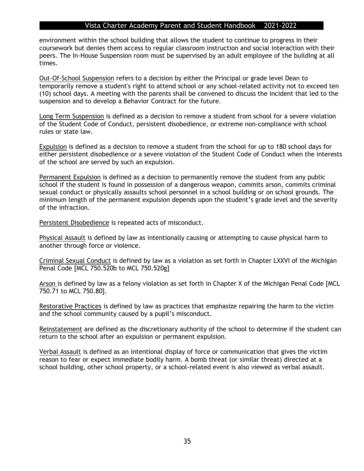environment within the school building that allows the student to continue to progress in their coursework but denies them access to regular classroom instruction and social interaction with their peers. The In-House Suspension room must be supervised by an adult employee of the building at all times.

Out-Of-School Suspension refers to a decision by either the Principal or grade level Dean to temporarily remove a student's right to attend school or any school-related activity not to exceed ten (10) school days. A meeting with the parents shall be convened to discuss the incident that led to the suspension and to develop a Behavior Contract for the future.

Long Term Suspension is defined as a decision to remove a student from school for a severe violation of the Student Code of Conduct, persistent disobedience, or extreme non-compliance with school rules or state law.

Expulsion is defined as a decision to remove a student from the school for up to 180 school days for either persistent disobedience or a severe violation of the Student Code of Conduct when the interests of the school are served by such an expulsion.

Permanent Expulsion is defined as a decision to permanently remove the student from any public school if the student is found in possession of a dangerous weapon, commits arson, commits criminal sexual conduct or physically assaults school personnel in a school building or on school grounds. The minimum length of the permanent expulsion depends upon the student's grade level and the severity of the infraction.

Persistent Disobedience is repeated acts of misconduct.

Physical Assault is defined by law as intentionally causing or attempting to cause physical harm to another through force or violence.

Criminal Sexual Conduct is defined by law as a violation as set forth in Chapter LXXVI of the Michigan Penal Code [MCL 750.520b to MCL 750.520g]

Arson is defined by law as a felony violation as set forth in Chapter X of the Michigan Penal Code [MCL 750.71 to MCL 750.80].

Restorative Practices is defined by law as practices that emphasize repairing the harm to the victim and the school community caused by a pupil's misconduct.

Reinstatement are defined as the discretionary authority of the school to determine if the student can return to the school after an expulsion or permanent expulsion.

Verbal Assault is defined as an intentional display of force or communication that gives the victim reason to fear or expect immediate bodily harm. A bomb threat (or similar threat) directed at a school building, other school property, or a school-related event is also viewed as verbal assault.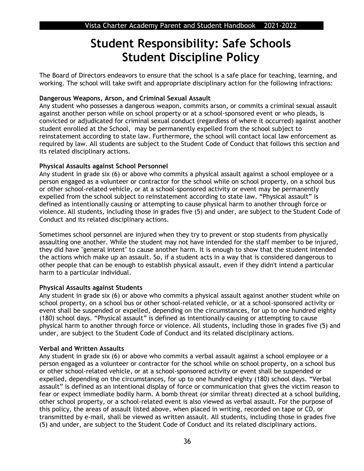## **Student Responsibility: Safe Schools Student Discipline Policy**

The Board of Directors endeavors to ensure that the school is a safe place for teaching, learning, and working. The school will take swift and appropriate disciplinary action for the following infractions:

### **Dangerous Weapons, Arson, and Criminal Sexual Assault**

Any student who possesses a dangerous weapon, commits arson, or commits a criminal sexual assault against another person while on school property or at a school-sponsored event or who pleads, is convicted or adjudicated for criminal sexual conduct (regardless of where it occurred) against another student enrolled at the School, may be permanently expelled from the school subject to reinstatement according to state law. Furthermore, the school will contact local law enforcement as required by law. All students are subject to the Student Code of Conduct that follows this section and its related disciplinary actions.

### **Physical Assaults against School Personnel**

Any student in grade six (6) or above who commits a physical assault against a school employee or a person engaged as a volunteer or contractor for the school while on school property, on a school bus or other school-related vehicle, or at a school-sponsored activity or event may be permanently expelled from the school subject to reinstatement according to state law. "Physical assault" is defined as intentionally causing or attempting to cause physical harm to another through force or violence. All students, including those in grades five (5) and under, are subject to the Student Code of Conduct and its related disciplinary actions.

Sometimes school personnel are injured when they try to prevent or stop students from physically assaulting one another. While the student may not have intended for the staff member to be injured, they did have "general intent" to cause another harm. It is enough to show that the student intended the actions which make up an assault. So, if a student acts in a way that is considered dangerous to other people that can be enough to establish physical assault, even if they didn't intend a particular harm to a particular individual.

### **Physical Assaults against Students**

Any student in grade six (6) or above who commits a physical assault against another student while on school property, on a school bus or other school-related vehicle, or at a school-sponsored activity or event shall be suspended or expelled, depending on the circumstances, for up to one hundred eighty (180) school days. "Physical assault" is defined as intentionally causing or attempting to cause physical harm to another through force or violence. All students, including those in grades five (5) and under, are subject to the Student Code of Conduct and its related disciplinary actions.

### **Verbal and Written Assaults**

Any student in grade six (6) or above who commits a verbal assault against a school employee or a person engaged as a volunteer or contractor for the school while on school property, on a school bus or other school-related vehicle, or at a school-sponsored activity or event shall be suspended or expelled, depending on the circumstances, for up to one hundred eighty (180) school days. "Verbal assault" is defined as an intentional display of force or communication that gives the victim reason to fear or expect immediate bodily harm. A bomb threat (or similar threat) directed at a school building, other school property, or a school-related event is also viewed as verbal assault. For the purpose of this policy, the areas of assault listed above, when placed in writing, recorded on tape or CD, or transmitted by e-mail, shall be viewed as written assault. All students, including those in grades five (5) and under, are subject to the Student Code of Conduct and its related disciplinary actions.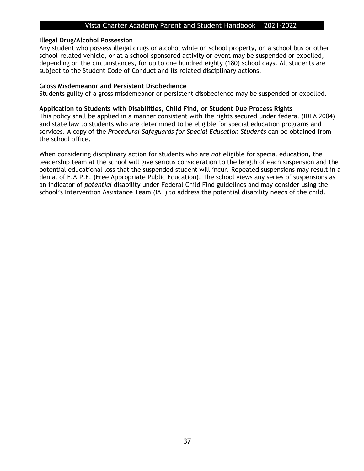### **Illegal Drug/Alcohol Possession**

Any student who possess illegal drugs or alcohol while on school property, on a school bus or other school-related vehicle, or at a school-sponsored activity or event may be suspended or expelled, depending on the circumstances, for up to one hundred eighty (180) school days. All students are subject to the Student Code of Conduct and its related disciplinary actions.

### **Gross Misdemeanor and Persistent Disobedience**

Students guilty of a gross misdemeanor or persistent disobedience may be suspended or expelled.

### **Application to Students with Disabilities, Child Find, or Student Due Process Rights**

This policy shall be applied in a manner consistent with the rights secured under federal (IDEA 2004) and state law to students who are determined to be eligible for special education programs and services. A copy of the *Procedural Safeguards for Special Education Students* can be obtained from the school office.

When considering disciplinary action for students who are *not* eligible for special education, the leadership team at the school will give serious consideration to the length of each suspension and the potential educational loss that the suspended student will incur. Repeated suspensions may result in a denial of F.A.P.E. (Free Appropriate Public Education). The school views any series of suspensions as an indicator of *potential* disability under Federal Child Find guidelines and may consider using the school's Intervention Assistance Team (IAT) to address the potential disability needs of the child.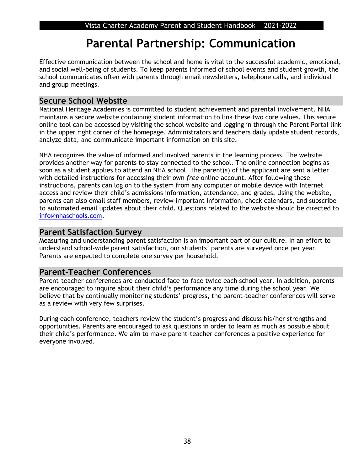## **Parental Partnership: Communication**

Effective communication between the school and home is vital to the successful academic, emotional, and social well-being of students. To keep parents informed of school events and student growth, the school communicates often with parents through email newsletters, telephone calls, and individual and group meetings.

## **Secure School Website**

National Heritage Academies is committed to student achievement and parental involvement. NHA maintains a secure website containing student information to link these two core values. This secure online tool can be accessed by visiting the school website and logging in through the Parent Portal link in the upper right corner of the homepage. Administrators and teachers daily update student records, analyze data, and communicate important information on this site.

NHA recognizes the value of informed and involved parents in the learning process. The website provides another way for parents to stay connected to the school. The online connection begins as soon as a student applies to attend an NHA school. The parent(s) of the applicant are sent a letter with detailed instructions for accessing their own *free* online account. After following these instructions, parents can log on to the system from any computer or mobile device with Internet access and review their child's admissions information, attendance, and grades. Using the website, parents can also email staff members, review important information, check calendars, and subscribe to automated email updates about their child. Questions related to the website should be directed to [info@nhaschools.com.](mailto:info@nhaschools.com)

## **Parent Satisfaction Survey**

Measuring and understanding parent satisfaction is an important part of our culture. In an effort to understand school-wide parent satisfaction, our students' parents are surveyed once per year. Parents are expected to complete one survey per household.

## **Parent-Teacher Conferences**

Parent-teacher conferences are conducted face-to-face twice each school year. In addition, parents are encouraged to inquire about their child's performance any time during the school year. We believe that by continually monitoring students' progress, the parent-teacher conferences will serve as a review with very few surprises.

During each conference, teachers review the student's progress and discuss his/her strengths and opportunities. Parents are encouraged to ask questions in order to learn as much as possible about their child's performance. We aim to make parent-teacher conferences a positive experience for everyone involved.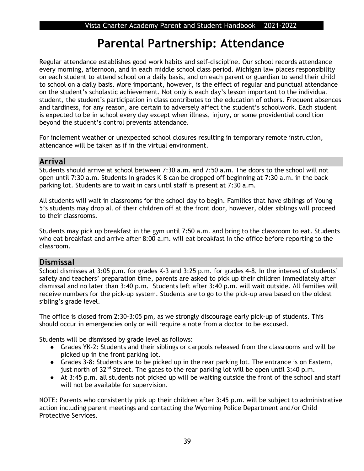## **Parental Partnership: Attendance**

Regular attendance establishes good work habits and self-discipline. Our school records attendance every morning, afternoon, and in each middle school class period. Michigan law places responsibility on each student to attend school on a daily basis, and on each parent or guardian to send their child to school on a daily basis. More important, however, is the effect of regular and punctual attendance on the student's scholastic achievement. Not only is each day's lesson important to the individual student, the student's participation in class contributes to the education of others. Frequent absences and tardiness, for any reason, are certain to adversely affect the student's schoolwork. Each student is expected to be in school every day except when illness, injury, or some providential condition beyond the student's control prevents attendance.

For inclement weather or unexpected school closures resulting in temporary remote instruction, attendance will be taken as if in the virtual environment.

## **Arrival**

Students should arrive at school between 7:30 a.m. and 7:50 a.m. The doors to the school will not open until 7:30 a.m. Students in grades K-8 can be dropped off beginning at 7:30 a.m. in the back parking lot. Students are to wait in cars until staff is present at 7:30 a.m.

All students will wait in classrooms for the school day to begin. Families that have siblings of Young 5's students may drop all of their children off at the front door, however, older siblings will proceed to their classrooms.

Students may pick up breakfast in the gym until 7:50 a.m. and bring to the classroom to eat. Students who eat breakfast and arrive after 8:00 a.m. will eat breakfast in the office before reporting to the classroom.

## **Dismissal**

School dismisses at 3:05 p.m. for grades K-3 and 3:25 p.m. for grades 4-8. In the interest of students' safety and teachers' preparation time, parents are asked to pick up their children immediately after dismissal and no later than 3:40 p.m. Students left after 3:40 p.m. will wait outside. All families will receive numbers for the pick-up system. Students are to go to the pick-up area based on the oldest sibling's grade level.

The office is closed from 2:30-3:05 pm, as we strongly discourage early pick-up of students. This should occur in emergencies only or will require a note from a doctor to be excused.

Students will be dismissed by grade level as follows:

- Grades YK-2: Students and their siblings or carpools released from the classrooms and will be picked up in the front parking lot.
- Grades 3-8: Students are to be picked up in the rear parking lot. The entrance is on Eastern, just north of  $32^{nd}$  Street. The gates to the rear parking lot will be open until 3:40 p.m.
- At 3:45 p.m. all students not picked up will be waiting outside the front of the school and staff will not be available for supervision.

NOTE: Parents who consistently pick up their children after 3:45 p.m. will be subject to administrative action including parent meetings and contacting the Wyoming Police Department and/or Child Protective Services.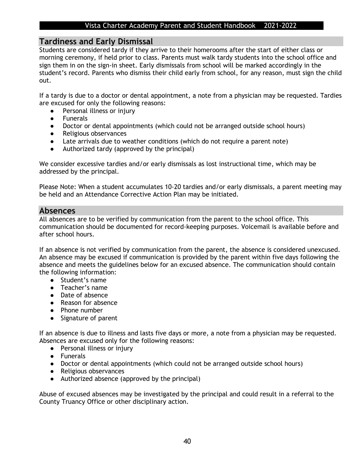### **Tardiness and Early Dismissal**

Students are considered tardy if they arrive to their homerooms after the start of either class or morning ceremony, if held prior to class. Parents must walk tardy students into the school office and sign them in on the sign-in sheet. Early dismissals from school will be marked accordingly in the student's record. Parents who dismiss their child early from school, for any reason, must sign the child out.

If a tardy is due to a doctor or dental appointment, a note from a physician may be requested. Tardies are excused for only the following reasons:

- Personal illness or injury
- Funerals
- Doctor or dental appointments (which could not be arranged outside school hours)
- Religious observances
- Late arrivals due to weather conditions (which do not require a parent note)
- Authorized tardy (approved by the principal)

We consider excessive tardies and/or early dismissals as lost instructional time, which may be addressed by the principal.

Please Note: When a student accumulates 10-20 tardies and/or early dismissals, a parent meeting may be held and an Attendance Corrective Action Plan may be initiated.

## **Absences**

All absences are to be verified by communication from the parent to the school office. This communication should be documented for record-keeping purposes. Voicemail is available before and after school hours.

If an absence is not verified by communication from the parent, the absence is considered unexcused. An absence may be excused if communication is provided by the parent within five days following the absence and meets the guidelines below for an excused absence. The communication should contain the following information:

- Student's name
- Teacher's name
- Date of absence
- Reason for absence
- Phone number
- Signature of parent

If an absence is due to illness and lasts five days or more, a note from a physician may be requested. Absences are excused only for the following reasons:

- Personal illness or injury
- Funerals
- Doctor or dental appointments (which could not be arranged outside school hours)
- Religious observances
- Authorized absence (approved by the principal)

Abuse of excused absences may be investigated by the principal and could result in a referral to the County Truancy Office or other disciplinary action.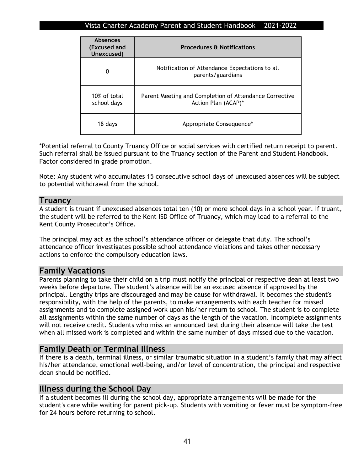| <b>Absences</b><br>(Excused and<br>Unexcused) | <b>Procedures &amp; Notifications</b>                                         |  |  |  |
|-----------------------------------------------|-------------------------------------------------------------------------------|--|--|--|
| 0                                             | Notification of Attendance Expectations to all<br>parents/guardians           |  |  |  |
| 10% of total<br>school days                   | Parent Meeting and Completion of Attendance Corrective<br>Action Plan (ACAP)* |  |  |  |
| 18 days                                       | Appropriate Consequence*                                                      |  |  |  |

\*Potential referral to County Truancy Office or social services with certified return receipt to parent. Such referral shall be issued pursuant to the Truancy section of the Parent and Student Handbook. Factor considered in grade promotion.

Note: Any student who accumulates 15 consecutive school days of unexcused absences will be subject to potential withdrawal from the school.

### **Truancy**

A student is truant if unexcused absences total ten (10) or more school days in a school year. If truant, the student will be referred to the Kent ISD Office of Truancy, which may lead to a referral to the Kent County Prosecutor's Office.

The principal may act as the school's attendance officer or delegate that duty. The school's attendance officer investigates possible school attendance violations and takes other necessary actions to enforce the compulsory education laws.

## **Family Vacations**

Parents planning to take their child on a trip must notify the principal or respective dean at least two weeks before departure. The student's absence will be an excused absence if approved by the principal. Lengthy trips are discouraged and may be cause for withdrawal. It becomes the student's responsibility, with the help of the parents, to make arrangements with each teacher for missed assignments and to complete assigned work upon his/her return to school. The student is to complete all assignments within the same number of days as the length of the vacation. Incomplete assignments will not receive credit. Students who miss an announced test during their absence will take the test when all missed work is completed and within the same number of days missed due to the vacation.

## **Family Death or Terminal Illness**

If there is a death, terminal illness, or similar traumatic situation in a student's family that may affect his/her attendance, emotional well-being, and/or level of concentration, the principal and respective dean should be notified.

### **Illness during the School Day**

If a student becomes ill during the school day, appropriate arrangements will be made for the student's care while waiting for parent pick-up. Students with vomiting or fever must be symptom-free for 24 hours before returning to school.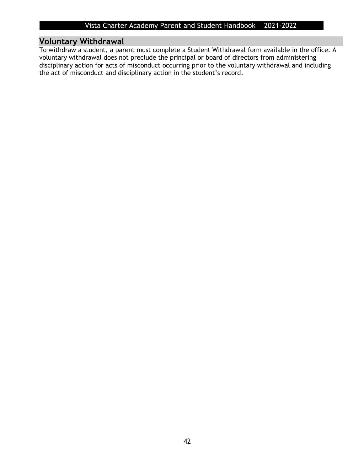## **Voluntary Withdrawal**

To withdraw a student, a parent must complete a Student Withdrawal form available in the office. A voluntary withdrawal does not preclude the principal or board of directors from administering disciplinary action for acts of misconduct occurring prior to the voluntary withdrawal and including the act of misconduct and disciplinary action in the student's record.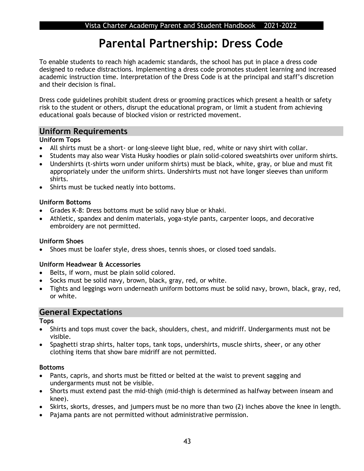## **Parental Partnership: Dress Code**

To enable students to reach high academic standards, the school has put in place a dress code designed to reduce distractions. Implementing a dress code promotes student learning and increased academic instruction time. Interpretation of the Dress Code is at the principal and staff's discretion and their decision is final.

Dress code guidelines prohibit student dress or grooming practices which present a health or safety risk to the student or others, disrupt the educational program, or limit a student from achieving educational goals because of blocked vision or restricted movement.

## **Uniform Requirements**

### **Uniform Tops**

- All shirts must be a short- or long-sleeve light blue, red, white or navy shirt with collar.
- Students may also wear Vista Husky hoodies or plain solid-colored sweatshirts over uniform shirts.
- Undershirts (t-shirts worn under uniform shirts) must be black, white, gray, or blue and must fit appropriately under the uniform shirts. Undershirts must not have longer sleeves than uniform shirts.
- Shirts must be tucked neatly into bottoms.

### **Uniform Bottoms**

- Grades K-8: Dress bottoms must be solid navy blue or khaki.
- Athletic, spandex and denim materials, yoga-style pants, carpenter loops, and decorative embroidery are not permitted.

### **Uniform Shoes**

• Shoes must be loafer style, dress shoes, tennis shoes, or closed toed sandals.

### **Uniform Headwear & Accessories**

- Belts, if worn, must be plain solid colored.
- Socks must be solid navy, brown, black, gray, red, or white.
- Tights and leggings worn underneath uniform bottoms must be solid navy, brown, black, gray, red, or white.

## **General Expectations**

### **Tops**

- Shirts and tops must cover the back, shoulders, chest, and midriff. Undergarments must not be visible.
- Spaghetti strap shirts, halter tops, tank tops, undershirts, muscle shirts, sheer, or any other clothing items that show bare midriff are not permitted.

### **Bottoms**

- Pants, capris, and shorts must be fitted or belted at the waist to prevent sagging and undergarments must not be visible.
- Shorts must extend past the mid-thigh (mid-thigh is determined as halfway between inseam and knee).
- Skirts, skorts, dresses, and jumpers must be no more than two (2) inches above the knee in length.
- Pajama pants are not permitted without administrative permission.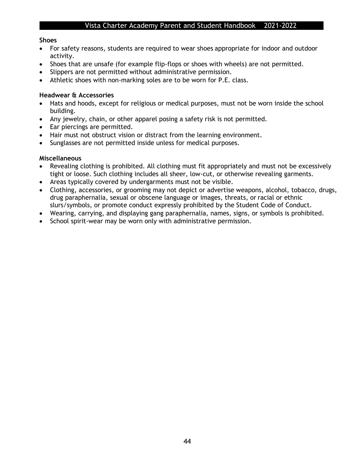### **Shoes**

- For safety reasons, students are required to wear shoes appropriate for indoor and outdoor activity.
- Shoes that are unsafe (for example flip-flops or shoes with wheels) are not permitted.
- Slippers are not permitted without administrative permission.
- Athletic shoes with non-marking soles are to be worn for P.E. class.

### **Headwear & Accessories**

- Hats and hoods, except for religious or medical purposes, must not be worn inside the school building.
- Any jewelry, chain, or other apparel posing a safety risk is not permitted.
- Ear piercings are permitted.
- Hair must not obstruct vision or distract from the learning environment.
- Sunglasses are not permitted inside unless for medical purposes.

### **Miscellaneous**

- Revealing clothing is prohibited. All clothing must fit appropriately and must not be excessively tight or loose. Such clothing includes all sheer, low-cut, or otherwise revealing garments.
- Areas typically covered by undergarments must not be visible.
- Clothing, accessories, or grooming may not depict or advertise weapons, alcohol, tobacco, drugs, drug paraphernalia, sexual or obscene language or images, threats, or racial or ethnic slurs/symbols, or promote conduct expressly prohibited by the Student Code of Conduct.
- Wearing, carrying, and displaying gang paraphernalia, names, signs, or symbols is prohibited.
- School spirit-wear may be worn only with administrative permission.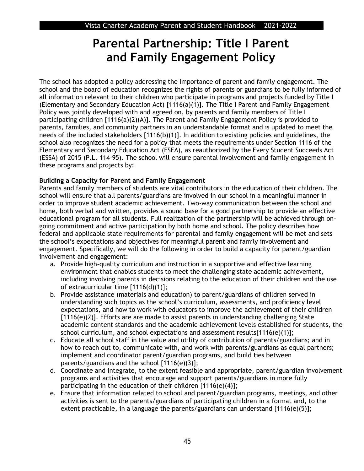## **Parental Partnership: Title I Parent and Family Engagement Policy**

The school has adopted a policy addressing the importance of parent and family engagement. The school and the board of education recognizes the rights of parents or guardians to be fully informed of all information relevant to their children who participate in programs and projects funded by Title I (Elementary and Secondary Education Act) [1116(a)(1)]. The Title I Parent and Family Engagement Policy was jointly developed with and agreed on, by parents and family members of Title I participating children [1116(a)(2)(A)]. The Parent and Family Engagement Policy is provided to parents, families, and community partners in an understandable format and is updated to meet the needs of the included stakeholders [1116(b)(1)]. In addition to existing policies and guidelines, the school also recognizes the need for a policy that meets the requirements under Section 1116 of the Elementary and Secondary Education Act (ESEA), as reauthorized by the Every Student Succeeds Act (ESSA) of 2015 (P.L. 114-95). The school will ensure parental involvement and family engagement in these programs and projects by:

### **Building a Capacity for Parent and Family Engagement**

Parents and family members of students are vital contributors in the education of their children. The school will ensure that all parents/guardians are involved in our school in a meaningful manner in order to improve student academic achievement. Two-way communication between the school and home, both verbal and written, provides a sound base for a good partnership to provide an effective educational program for all students. Full realization of the partnership will be achieved through ongoing commitment and active participation by both home and school. The policy describes how federal and applicable state requirements for parental and family engagement will be met and sets the school's expectations and objectives for meaningful parent and family involvement and engagement. Specifically, we will do the following in order to build a capacity for parent/guardian involvement and engagement:

- a. Provide high-quality curriculum and instruction in a supportive and effective learning environment that enables students to meet the challenging state academic achievement, including involving parents in decisions relating to the education of their children and the use of extracurricular time [1116(d)(1)];
- b. Provide assistance (materials and education) to parent/guardians of children served in understanding such topics as the school's curriculum, assessments, and proficiency level expectations, and how to work with educators to improve the achievement of their children [1116(e)(2)]. Efforts are are made to assist parents in understanding challenging State academic content standards and the academic achievement levels established for students, the school curriculum, and school expectations and assessment results $[1116(e)(1)];$
- c. Educate all school staff in the value and utility of contribution of parents/guardians; and in how to reach out to, communicate with, and work with parents/guardians as equal partners; implement and coordinator parent/guardian programs, and build ties between parents/guardians and the school [1116(e)(3)];
- d. Coordinate and integrate, to the extent feasible and appropriate, parent/guardian involvement programs and activities that encourage and support parents/guardians in more fully participating in the education of their children [1116(e)(4)];
- e. Ensure that information related to school and parent/guardian programs, meetings, and other activities is sent to the parents/guardians of participating children in a format and, to the extent practicable, in a language the parents/guardians can understand [1116(e)(5)];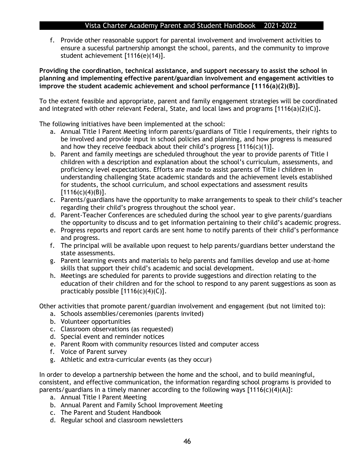f. Provide other reasonable support for parental involvement and involvement activities to ensure a sucessful partnership amongst the school, parents, and the community to improve student achievement [1116(e)(14)].

**Providing the coordination, technical assistance, and support necessary to assist the school in planning and implementing effective parent/guardian involvement and engagement activities to improve the student academic achievement and school performance [1116(a)(2)(B)].** 

To the extent feasible and appropriate, parent and family engagement strategies will be coordinated and integrated with other relevant Federal, State, and local laws and programs [1116(a)(2)(C)]**.** 

The following initiatives have been implemented at the school:

- a. Annual Title I Parent Meeting inform parents/guardians of Title I requirements, their rights to be involved and provide input in school policies and planning, and how progress is measured and how they receive feedback about their child's progress  $[1116(c)(1)].$
- b. Parent and family meetings are scheduled throughout the year to provide parents of Title I children with a description and explanation about the school's curriculum, assessments, and proficiency level expectations. Efforts are made to assist parents of Title I children in understanding challenging State academic standards and the achievement levels established for students, the school curriculum, and school expectations and assessment results  $[1116(c)(4)(B)].$
- c. Parents/guardians have the opportunity to make arrangements to speak to their child's teacher regarding their child's progress throughout the school year.
- d. Parent-Teacher Conferences are scheduled during the school year to give parents/guardians the opportunity to discuss and to get information pertaining to their child's academic progress.
- e. Progress reports and report cards are sent home to notify parents of their child's performance and progress.
- f. The principal will be available upon request to help parents/guardians better understand the state assessments.
- g. Parent learning events and materials to help parents and families develop and use at-home skills that support their child's academic and social development.
- h. Meetings are scheduled for parents to provide suggestions and direction relating to the education of their children and for the school to respond to any parent suggestions as soon as practicably possible  $[1116(c)(4)(C)].$

Other activities that promote parent/guardian involvement and engagement (but not limited to):

- a. Schools assemblies/ceremonies (parents invited)
- b. Volunteer opportunities
- c. Classroom observations (as requested)
- d. Special event and reminder notices
- e. Parent Room with community resources listed and computer access
- f. Voice of Parent survey
- g. Athletic and extra-curricular events (as they occur)

In order to develop a partnership between the home and the school, and to build meaningful, consistent, and effective communication, the information regarding school programs is provided to parents/guardians in a timely manner according to the following ways  $[1116(c)(4)(A)]$ :

- a. Annual Title I Parent Meeting
- b. Annual Parent and Family School Improvement Meeting
- c. The Parent and Student Handbook
- d. Regular school and classroom newsletters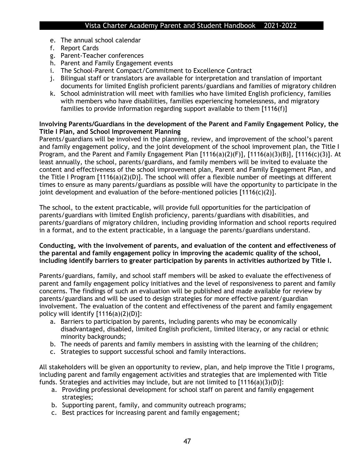- e. The annual school calendar
- f. Report Cards
- g. Parent-Teacher conferences
- h. Parent and Family Engagement events
- i. The School-Parent Compact/Commitment to Excellence Contract
- j. Bilingual staff or translators are available for interpretation and translation of important documents for limited English proficient parents/guardians and families of migratory children
- k. School administration will meet with families who have limited English proficiency, families with members who have disabilities, families experiencing homelessness, and migratory families to provide information regarding support available to them [1116(f)]

### **Involving Parents/Guardians in the development of the Parent and Family Engagement Policy, the Title I Plan, and School Improvement Planning**

Parents/guardians will be involved in the planning, review, and improvement of the school's parent and family engagement policy, and the joint development of the school improvement plan, the Title I Program, and the Parent and Family Engagement Plan [1116(a)(2)(F)], [1116(a)(3)(B)], [1116(c)(3)]. At least annually, the school, parents/guardians, and family members will be invited to evaluate the content and effectiveness of the school improvement plan, Parent and Family Engagement Plan, and the Title I Program [1116(a)(2)(D)]. The school will offer a flexible number of meetings at different times to ensure as many parents/guardians as possible will have the opportunity to participate in the joint development and evaluation of the before-mentioned policies [1116(c)(2)].

The school, to the extent practicable, will provide full opportunities for the participation of parents/guardians with limited English proficiency, parents/guardians with disabilities, and parents/guardians of migratory children, including providing information and school reports required in a format, and to the extent practicable, in a language the parents/guardians understand.

### **Conducting, with the involvement of parents, and evaluation of the content and effectiveness of the parental and family engagement policy in improving the academic quality of the school, including identify barriers to greater participation by parents in activities authorized by Title I.**

Parents/guardians, family, and school staff members will be asked to evaluate the effectiveness of parent and family engagement policy initiatives and the level of responsiveness to parent and family concerns. The findings of such an evaluation will be published and made available for review by parents/guardians and will be used to design strategies for more effective parent/guardian involvement. The evaluation of the content and effectiveness of the parent and family engagement policy will identify [1116(a)(2)(D)]:

- a. Barriers to participation by parents, including parents who may be economically disadvantaged, disabled, limited English proficient, limited literacy, or any racial or ethnic minority backgrounds;
- b. The needs of parents and family members in assisting with the learning of the children;
- c. Strategies to support successful school and family interactions.

All stakeholders will be given an opportunity to review, plan, and help improve the Title I programs, including parent and family engagement activities and strategies that are implemented with Title funds. Strategies and activities may include, but are not limited to [1116(a)(3)(D)]:

- a. Providing professional development for school staff on parent and family engagement strategies;
- b. Supporting parent, family, and community outreach programs;
- c. Best practices for increasing parent and family engagement;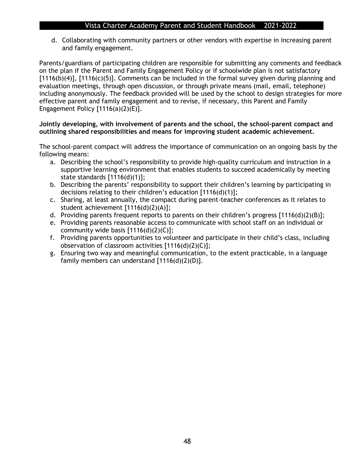d. Collaborating with community partners or other vendors with expertise in increasing parent and family engagement.

Parents/guardians of participating children are responsible for submitting any comments and feedback on the plan if the Parent and Family Engagement Policy or if schoolwide plan is not satisfactory [1116(b)(4)], [1116(c)(5)]. Comments can be included in the formal survey given during planning and evaluation meetings, through open discussion, or through private means (mail, email, telephone) including anonymously. The feedback provided will be used by the school to design strategies for more effective parent and family engagement and to revise, if necessary, this Parent and Family Engagement Policy  $[1116(a)(2)(E)].$ 

### **Jointly developing, with involvement of parents and the school, the school-parent compact and outlining shared responsibilities and means for improving student academic achievement.**

The school-parent compact will address the importance of communication on an ongoing basis by the following means:

- a. Describing the school's responsibility to provide high-quality curriculum and instruction in a supportive learning environment that enables students to succeed academically by meeting state standards [1116(d)(1)];
- b. Describing the parents' responsibility to support their children's learning by participating in decisions relating to their children's education [1116(d)(1)];
- c. Sharing, at least annually, the compact during parent-teacher conferences as it relates to student achievement [1116(d)(2)(A)];
- d. Providing parents frequent reports to parents on their children's progress [1116(d)(2)(B)];
- e. Providing parents reasonable access to communicate with school staff on an individual or community wide basis [1116(d)(2)(C)];
- f. Providing parents opportunities to volunteer and participate in their child's class, including observation of classroom activities [1116(d)(2)(C)];
- g. Ensuring two way and meaningful communication, to the extent practicable, in a language family members can understand [1116(d)(2)(D)].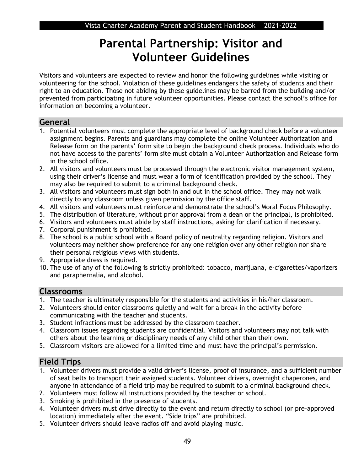## **Parental Partnership: Visitor and Volunteer Guidelines**

Visitors and volunteers are expected to review and honor the following guidelines while visiting or volunteering for the school. Violation of these guidelines endangers the safety of students and their right to an education. Those not abiding by these guidelines may be barred from the building and/or prevented from participating in future volunteer opportunities. Please contact the school's office for information on becoming a volunteer.

## **General**

- 1. Potential volunteers must complete the appropriate level of background check before a volunteer assignment begins. Parents and guardians may complete the online Volunteer Authorization and Release form on the parents' form site to begin the background check process. Individuals who do not have access to the parents' form site must obtain a Volunteer Authorization and Release form in the school office.
- 2. All visitors and volunteers must be processed through the electronic visitor management system, using their driver's license and must wear a form of identification provided by the school. They may also be required to submit to a criminal background check.
- 3. All visitors and volunteers must sign both in and out in the school office. They may not walk directly to any classroom unless given permission by the office staff.
- 4. All visitors and volunteers must reinforce and demonstrate the school's Moral Focus Philosophy.
- 5. The distribution of literature, without prior approval from a dean or the principal, is prohibited.
- 6. Visitors and volunteers must abide by staff instructions, asking for clarification if necessary.
- 7. Corporal punishment is prohibited.
- 8. The school is a public school with a Board policy of neutrality regarding religion. Visitors and volunteers may neither show preference for any one religion over any other religion nor share their personal religious views with students.
- 9. Appropriate dress is required.
- 10. The use of any of the following is strictly prohibited: tobacco, marijuana, e-cigarettes/vaporizers and paraphernalia, and alcohol.

## **Classrooms**

- 1. The teacher is ultimately responsible for the students and activities in his/her classroom.
- 2. Volunteers should enter classrooms quietly and wait for a break in the activity before communicating with the teacher and students.
- 3. Student infractions must be addressed by the classroom teacher.
- 4. Classroom issues regarding students are confidential. Visitors and volunteers may not talk with others about the learning or disciplinary needs of any child other than their own.
- 5. Classroom visitors are allowed for a limited time and must have the principal's permission.

## **Field Trips**

- 1. Volunteer drivers must provide a valid driver's license, proof of insurance, and a sufficient number of seat belts to transport their assigned students. Volunteer drivers, overnight chaperones, and anyone in attendance of a field trip may be required to submit to a criminal background check.
- 2. Volunteers must follow all instructions provided by the teacher or school.
- 3. Smoking is prohibited in the presence of students.
- 4. Volunteer drivers must drive directly to the event and return directly to school (or pre-approved location) immediately after the event. "Side trips" are prohibited.
- 5. Volunteer drivers should leave radios off and avoid playing music.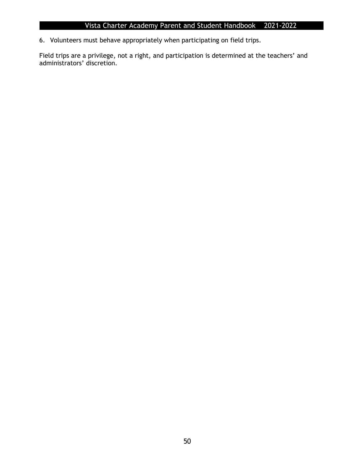6. Volunteers must behave appropriately when participating on field trips.

Field trips are a privilege, not a right, and participation is determined at the teachers' and administrators' discretion.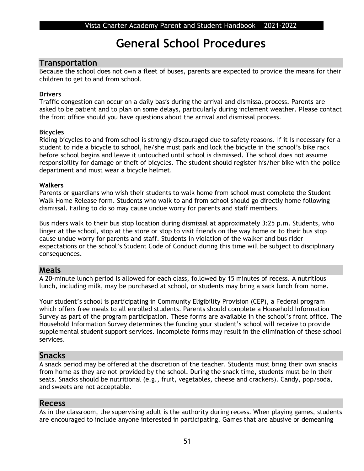## **General School Procedures**

### **Transportation**

Because the school does not own a fleet of buses, parents are expected to provide the means for their children to get to and from school.

### **Drivers**

Traffic congestion can occur on a daily basis during the arrival and dismissal process. Parents are asked to be patient and to plan on some delays, particularly during inclement weather. Please contact the front office should you have questions about the arrival and dismissal process.

### **Bicycles**

Riding bicycles to and from school is strongly discouraged due to safety reasons. If it is necessary for a student to ride a bicycle to school, he/she must park and lock the bicycle in the school's bike rack before school begins and leave it untouched until school is dismissed. The school does not assume responsibility for damage or theft of bicycles. The student should register his/her bike with the police department and must wear a bicycle helmet.

### **Walkers**

Parents or guardians who wish their students to walk home from school must complete the Student Walk Home Release form. Students who walk to and from school should go directly home following dismissal. Failing to do so may cause undue worry for parents and staff members.

Bus riders walk to their bus stop location during dismissal at approximately 3:25 p.m. Students, who linger at the school, stop at the store or stop to visit friends on the way home or to their bus stop cause undue worry for parents and staff. Students in violation of the walker and bus rider expectations or the school's Student Code of Conduct during this time will be subject to disciplinary consequences.

## **Meals**

A 20-minute lunch period is allowed for each class, followed by 15 minutes of recess. A nutritious lunch, including milk, may be purchased at school, or students may bring a sack lunch from home.

Your student's school is participating in Community Eligibility Provision (CEP), a Federal program which offers free meals to all enrolled students. Parents should complete a Household Information Survey as part of the program participation. These forms are available in the school's front office. The Household Information Survey determines the funding your student's school will receive to provide supplemental student support services. Incomplete forms may result in the elimination of these school services.

## **Snacks**

A snack period may be offered at the discretion of the teacher. Students must bring their own snacks from home as they are not provided by the school. During the snack time, students must be in their seats. Snacks should be nutritional (e.g., fruit, vegetables, cheese and crackers). Candy, pop/soda, and sweets are not acceptable.

### **Recess**

As in the classroom, the supervising adult is the authority during recess. When playing games, students are encouraged to include anyone interested in participating. Games that are abusive or demeaning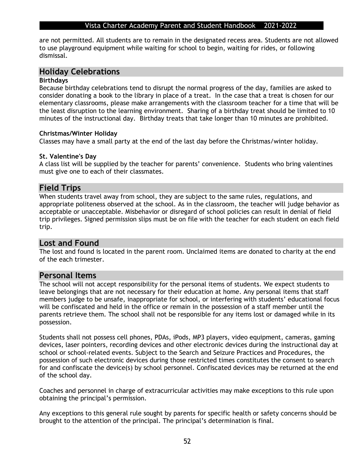are not permitted. All students are to remain in the designated recess area. Students are not allowed to use playground equipment while waiting for school to begin, waiting for rides, or following dismissal.

## **Holiday Celebrations**

### **Birthdays**

Because birthday celebrations tend to disrupt the normal progress of the day, families are asked to consider donating a book to the library in place of a treat. In the case that a treat is chosen for our elementary classrooms, please make arrangements with the classroom teacher for a time that will be the least disruption to the learning environment. Sharing of a birthday treat should be limited to 10 minutes of the instructional day. Birthday treats that take longer than 10 minutes are prohibited.

### **Christmas/Winter Holiday**

Classes may have a small party at the end of the last day before the Christmas/winter holiday.

### **St. Valentine's Day**

A class list will be supplied by the teacher for parents' convenience. Students who bring valentines must give one to each of their classmates.

### **Field Trips**

When students travel away from school, they are subject to the same rules, regulations, and appropriate politeness observed at the school. As in the classroom, the teacher will judge behavior as acceptable or unacceptable. Misbehavior or disregard of school policies can result in denial of field trip privileges. Signed permission slips must be on file with the teacher for each student on each field trip.

## **Lost and Found**

The lost and found is located in the parent room. Unclaimed items are donated to charity at the end of the each trimester.

### **Personal Items**

The school will not accept responsibility for the personal items of students. We expect students to leave belongings that are not necessary for their education at home. Any personal items that staff members judge to be unsafe, inappropriate for school, or interfering with students' educational focus will be confiscated and held in the office or remain in the possession of a staff member until the parents retrieve them. The school shall not be responsible for any items lost or damaged while in its possession.

Students shall not possess cell phones, PDAs, iPods, MP3 players, video equipment, cameras, gaming devices, laser pointers, recording devices and other electronic devices during the instructional day at school or school-related events. Subject to the Search and Seizure Practices and Procedures, the possession of such electronic devices during those restricted times constitutes the consent to search for and confiscate the device(s) by school personnel. Confiscated devices may be returned at the end of the school day.

Coaches and personnel in charge of extracurricular activities may make exceptions to this rule upon obtaining the principal's permission.

Any exceptions to this general rule sought by parents for specific health or safety concerns should be brought to the attention of the principal. The principal's determination is final.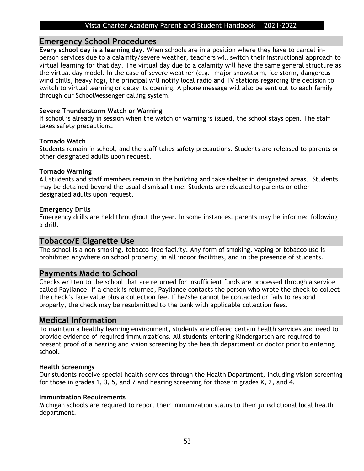### **Emergency School Procedures**

**Every school day is a learning day.** When schools are in a position where they have to cancel inperson services due to a calamity/severe weather, teachers will switch their instructional approach to virtual learning for that day. The virtual day due to a calamity will have the same general structure as the virtual day model. In the case of severe weather (e.g., major snowstorm, ice storm, dangerous wind chills, heavy fog), the principal will notify local radio and TV stations regarding the decision to switch to virtual learning or delay its opening. A phone message will also be sent out to each family through our SchoolMessenger calling system.

### **Severe Thunderstorm Watch or Warning**

If school is already in session when the watch or warning is issued, the school stays open. The staff takes safety precautions.

### **Tornado Watch**

Students remain in school, and the staff takes safety precautions. Students are released to parents or other designated adults upon request.

### **Tornado Warning**

All students and staff members remain in the building and take shelter in designated areas. Students may be detained beyond the usual dismissal time. Students are released to parents or other designated adults upon request.

### **Emergency Drills**

Emergency drills are held throughout the year. In some instances, parents may be informed following a drill.

### **Tobacco/E Cigarette Use**

The school is a non-smoking, tobacco-free facility. Any form of smoking, vaping or tobacco use is prohibited anywhere on school property, in all indoor facilities, and in the presence of students.

### **Payments Made to School**

Checks written to the school that are returned for insufficient funds are processed through a service called Payliance. If a check is returned, Payliance contacts the person who wrote the check to collect the check's face value plus a collection fee. If he/she cannot be contacted or fails to respond properly, the check may be resubmitted to the bank with applicable collection fees.

### **Medical Information**

To maintain a healthy learning environment, students are offered certain health services and need to provide evidence of required immunizations. All students entering Kindergarten are required to present proof of a hearing and vision screening by the health department or doctor prior to entering school.

### **Health Screenings**

Our students receive special health services through the Health Department, including vision screening for those in grades 1, 3, 5, and 7 and hearing screening for those in grades K, 2, and 4.

### **Immunization Requirements**

Michigan schools are required to report their immunization status to their jurisdictional local health department.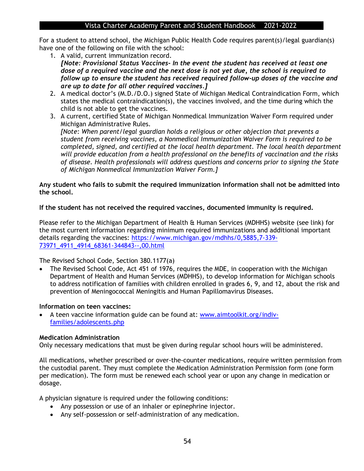For a student to attend school, the Michigan Public Health Code requires parent(s)/legal guardian(s) have one of the following on file with the school:

- 1. A valid, current immunization record. *[Note: Provisional Status Vaccines- In the event the student has received at least one dose of a required vaccine and the next dose is not yet due, the school is required to follow up to ensure the student has received required follow-up doses of the vaccine and are up to date for all other required vaccines.]*
- 2. A medical doctor's (M.D./D.O.) signed State of Michigan Medical Contraindication Form, which states the medical contraindication(s), the vaccines involved, and the time during which the child is not able to get the vaccines.
- 3. A current, certified State of Michigan Nonmedical Immunization Waiver Form required under Michigan Administrative Rules. *[Note: When parent/legal guardian holds a religious or other objection that prevents a student from receiving vaccines, a Nonmedical Immunization Waiver Form is required to be completed, signed, and certified at the local health department. The local health department will provide education from a health professional on the benefits of vaccination and the risks of disease. Health professionals will address questions and concerns prior to signing the State of Michigan Nonmedical Immunization Waiver Form.]*

### **Any student who fails to submit the required immunization information shall not be admitted into the school.**

### **If the student has not received the required vaccines, documented immunity is required.**

Please refer to the Michigan Department of Health & Human Services (MDHHS) website (see link) for the most current information regarding minimum required immunizations and additional important details regarding the vaccines: [https://www.michigan.gov/mdhhs/0,5885,7-339-](https://www.michigan.gov/mdhhs/0,5885,7-339-73971_4911_4914_68361-344843--,00.html) [73971\\_4911\\_4914\\_68361-344843--,00.html](https://www.michigan.gov/mdhhs/0,5885,7-339-73971_4911_4914_68361-344843--,00.html)

The Revised School Code, Section 380.1177(a)

• The Revised School Code, Act 451 of 1976, requires the MDE, in cooperation with the Michigan Department of Health and Human Services (MDHHS), to develop information for Michigan schools to address notification of families with children enrolled in grades 6, 9, and 12, about the risk and prevention of Meningococcal Meningitis and Human Papillomavirus Diseases.

### **Information on teen vaccines:**

• A teen vaccine information guide can be found at: [www.aimtoolkit.org/indiv](http://www.aimtoolkit.org/indiv-families/adolescents.php)[families/adolescents.php](http://www.aimtoolkit.org/indiv-families/adolescents.php)

### **Medication Administration**

Only necessary medications that must be given during regular school hours will be administered.

All medications, whether prescribed or over-the-counter medications, require written permission from the custodial parent. They must complete the Medication Administration Permission form (one form per medication). The form must be renewed each school year or upon any change in medication or dosage.

A physician signature is required under the following conditions:

- Any possession or use of an inhaler or epinephrine injector.
- Any self-possession or self-administration of any medication.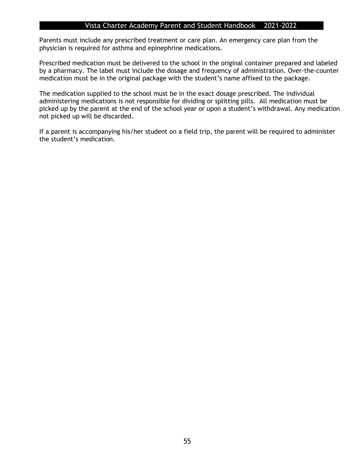Parents must include any prescribed treatment or care plan. An emergency care plan from the physician is required for asthma and epinephrine medications.

Prescribed medication must be delivered to the school in the original container prepared and labeled by a pharmacy. The label must include the dosage and frequency of administration. Over-the-counter medication must be in the original package with the student's name affixed to the package.

The medication supplied to the school must be in the exact dosage prescribed. The individual administering medications is not responsible for dividing or splitting pills. All medication must be picked up by the parent at the end of the school year or upon a student's withdrawal. Any medication not picked up will be discarded.

If a parent is accompanying his/her student on a field trip, the parent will be required to administer the student's medication.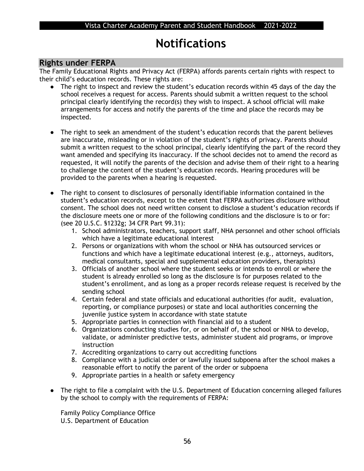## **Notifications**

## **Rights under FERPA**

The Family Educational Rights and Privacy Act (FERPA) affords parents certain rights with respect to their child's education records. These rights are:

- The right to inspect and review the student's education records within 45 days of the day the school receives a request for access. Parents should submit a written request to the school principal clearly identifying the record(s) they wish to inspect. A school official will make arrangements for access and notify the parents of the time and place the records may be inspected.
- The right to seek an amendment of the student's education records that the parent believes are inaccurate, misleading or in violation of the student's rights of privacy. Parents should submit a written request to the school principal, clearly identifying the part of the record they want amended and specifying its inaccuracy. If the school decides not to amend the record as requested, it will notify the parents of the decision and advise them of their right to a hearing to challenge the content of the student's education records. Hearing procedures will be provided to the parents when a hearing is requested.
- The right to consent to disclosures of personally identifiable information contained in the student's education records, except to the extent that FERPA authorizes disclosure without consent. The school does not need written consent to disclose a student's education records if the disclosure meets one or more of the following conditions and the disclosure is to or for: (see 20 U.S.C. §1232g; 34 CFR Part 99.31):
	- 1. School administrators, teachers, support staff, NHA personnel and other school officials which have a legitimate educational interest
	- 2. Persons or organizations with whom the school or NHA has outsourced services or functions and which have a legitimate educational interest (e.g., attorneys, auditors, medical consultants, special and supplemental education providers, therapists)
	- 3. Officials of another school where the student seeks or intends to enroll or where the student is already enrolled so long as the disclosure is for purposes related to the student's enrollment, and as long as a proper records release request is received by the sending school
	- 4. Certain federal and state officials and educational authorities (for audit, evaluation, reporting, or compliance purposes) or state and local authorities concerning the juvenile justice system in accordance with state statute
	- 5. Appropriate parties in connection with financial aid to a student
	- 6. Organizations conducting studies for, or on behalf of, the school or NHA to develop, validate, or administer predictive tests, administer student aid programs, or improve instruction
	- 7. Accrediting organizations to carry out accrediting functions
	- 8. Compliance with a judicial order or lawfully issued subpoena after the school makes a reasonable effort to notify the parent of the order or subpoena
	- 9. Appropriate parties in a health or safety emergency
- The right to file a complaint with the U.S. Department of Education concerning alleged failures by the school to comply with the requirements of FERPA:

Family Policy Compliance Office U.S. Department of Education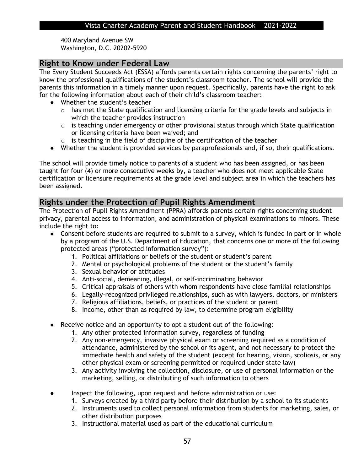400 Maryland Avenue SW Washington, D.C. 20202-5920

## **Right to Know under Federal Law**

The Every Student Succeeds Act (ESSA) affords parents certain rights concerning the parents' right to know the professional qualifications of the student's classroom teacher. The school will provide the parents this information in a timely manner upon request. Specifically, parents have the right to ask for the following information about each of their child's classroom teacher:

- Whether the student's teacher
	- o has met the State qualification and licensing criteria for the grade levels and subjects in which the teacher provides instruction
	- $\circ$  is teaching under emergency or other provisional status through which State qualification or licensing criteria have been waived; and
	- o is teaching in the field of discipline of the certification of the teacher
- Whether the student is provided services by paraprofessionals and, if so, their qualifications.

The school will provide timely notice to parents of a student who has been assigned, or has been taught for four (4) or more consecutive weeks by, a teacher who does not meet applicable State certification or licensure requirements at the grade level and subject area in which the teachers has been assigned.

## **Rights under the Protection of Pupil Rights Amendment**

The Protection of Pupil Rights Amendment (PPRA) affords parents certain rights concerning student privacy, parental access to information, and administration of physical examinations to minors. These include the right to:

- Consent before students are required to submit to a survey, which is funded in part or in whole by a program of the U.S. Department of Education, that concerns one or more of the following protected areas ("protected information survey"):
	- 1. Political affiliations or beliefs of the student or student's parent
	- 2. Mental or psychological problems of the student or the student's family
	- 3. Sexual behavior or attitudes
	- 4. Anti-social, demeaning, illegal, or self-incriminating behavior
	- 5. Critical appraisals of others with whom respondents have close familial relationships
	- 6. Legally-recognized privileged relationships, such as with lawyers, doctors, or ministers
	- 7. Religious affiliations, beliefs, or practices of the student or parent
	- 8. Income, other than as required by law, to determine program eligibility
	- Receive notice and an opportunity to opt a student out of the following:
		- 1. Any other protected information survey, regardless of funding
		- 2. Any non-emergency, invasive physical exam or screening required as a condition of attendance, administered by the school or its agent, and not necessary to protect the immediate health and safety of the student (except for hearing, vision, scoliosis, or any other physical exam or screening permitted or required under state law)
		- 3. Any activity involving the collection, disclosure, or use of personal information or the marketing, selling, or distributing of such information to others
	- Inspect the following, upon request and before administration or use:
		- 1. Surveys created by a third party before their distribution by a school to its students
		- 2. Instruments used to collect personal information from students for marketing, sales, or other distribution purposes
		- 3. Instructional material used as part of the educational curriculum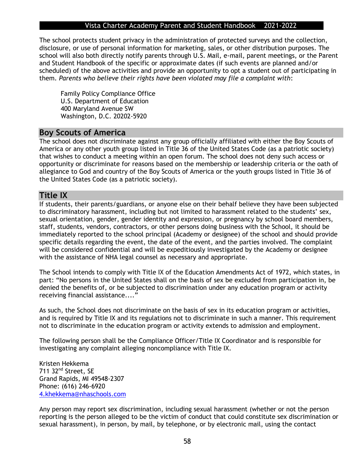The school protects student privacy in the administration of protected surveys and the collection, disclosure, or use of personal information for marketing, sales, or other distribution purposes. The school will also both directly notify parents through U.S. Mail, e-mail, parent meetings, or the Parent and Student Handbook of the specific or approximate dates (if such events are planned and/or scheduled) of the above activities and provide an opportunity to opt a student out of participating in them. *Parents who believe their rights have been violated may file a complaint with*:

Family Policy Compliance Office U.S. Department of Education 400 Maryland Avenue SW Washington, D.C. 20202-5920

## **Boy Scouts of America**

The school does not discriminate against any group officially affiliated with either the Boy Scouts of America or any other youth group listed in Title 36 of the United States Code (as a patriotic society) that wishes to conduct a meeting within an open forum. The school does not deny such access or opportunity or discriminate for reasons based on the membership or leadership criteria or the oath of allegiance to God and country of the Boy Scouts of America or the youth groups listed in Title 36 of the United States Code (as a patriotic society).

### **Title IX**

If students, their parents/guardians, or anyone else on their behalf believe they have been subjected to discriminatory harassment, including but not limited to harassment related to the students' sex, sexual orientation, gender, gender identity and expression, or pregnancy by school board members, staff, students, vendors, contractors, or other persons doing business with the School, it should be immediately reported to the school principal (Academy or designee) of the school and should provide specific details regarding the event, the date of the event, and the parties involved. The complaint will be considered confidential and will be expeditiously investigated by the Academy or designee with the assistance of NHA legal counsel as necessary and appropriate.

The School intends to comply with Title IX of the Education Amendments Act of 1972, which states, in part: "No persons in the United States shall on the basis of sex be excluded from participation in, be denied the benefits of, or be subjected to discrimination under any education program or activity receiving financial assistance...."

As such, the School does not discriminate on the basis of sex in its education program or activities, and is required by Title IX and its regulations not to discriminate in such a manner. This requirement not to discriminate in the education program or activity extends to admission and employment.

The following person shall be the Compliance Officer/Title IX Coordinator and is responsible for investigating any complaint alleging noncompliance with Title IX.

Kristen Hekkema 711 32nd Street, SE Grand Rapids, MI 49548-2307 Phone: (616) 246-6920 [4.khekkema@nhaschools.com](mailto:4.khekkema@nhaschools.com)

Any person may report sex discrimination, including sexual harassment (whether or not the person reporting is the person alleged to be the victim of conduct that could constitute sex discrimination or sexual harassment), in person, by mail, by telephone, or by electronic mail, using the contact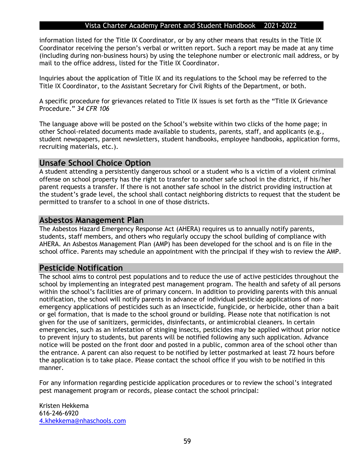information listed for the Title IX Coordinator, or by any other means that results in the Title IX Coordinator receiving the person's verbal or written report. Such a report may be made at any time (including during non-business hours) by using the telephone number or electronic mail address, or by mail to the office address, listed for the Title IX Coordinator.

Inquiries about the application of Title IX and its regulations to the School may be referred to the Title IX Coordinator, to the Assistant Secretary for Civil Rights of the Department, or both.

A specific procedure for grievances related to Title IX issues is set forth as the "Title IX Grievance Procedure." *34 CFR 106*

The language above will be posted on the School's website within two clicks of the home page; in other School-related documents made available to students, parents, staff, and applicants (e.g., student newspapers, parent newsletters, student handbooks, employee handbooks, application forms, recruiting materials, etc.).

## **Unsafe School Choice Option**

A student attending a persistently dangerous school or a student who is a victim of a violent criminal offense on school property has the right to transfer to another safe school in the district, if his/her parent requests a transfer. If there is not another safe school in the district providing instruction at the student's grade level, the school shall contact neighboring districts to request that the student be permitted to transfer to a school in one of those districts.

### **Asbestos Management Plan**

The Asbestos Hazard Emergency Response Act (AHERA) requires us to annually notify parents, students, staff members, and others who regularly occupy the school building of compliance with AHERA. An Asbestos Management Plan (AMP) has been developed for the school and is on file in the school office. Parents may schedule an appointment with the principal if they wish to review the AMP.

## **Pesticide Notification**

The school aims to control pest populations and to reduce the use of active pesticides throughout the school by implementing an integrated pest management program. The health and safety of all persons within the school's facilities are of primary concern. In addition to providing parents with this annual notification, the school will notify parents in advance of individual pesticide applications of nonemergency applications of pesticides such as an insecticide, fungicide, or herbicide, other than a bait or gel formation, that is made to the school ground or building. Please note that notification is not given for the use of sanitizers, germicides, disinfectants, or antimicrobial cleaners. In certain emergencies, such as an infestation of stinging insects, pesticides may be applied without prior notice to prevent injury to students, but parents will be notified following any such application. Advance notice will be posted on the front door and posted in a public, common area of the school other than the entrance. A parent can also request to be notified by letter postmarked at least 72 hours before the application is to take place. Please contact the school office if you wish to be notified in this manner.

For any information regarding pesticide application procedures or to review the school's integrated pest management program or records, please contact the school principal:

Kristen Hekkema 616-246-6920 [4.khekkema@nhaschools.com](mailto:4.khekkema@nhaschools.com)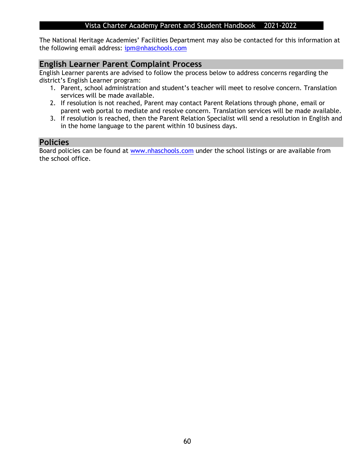The National Heritage Academies' Facilities Department may also be contacted for this information at the following email address: [ipm@nhaschools.com](mailto:ipm@nhaschools.com)

## **English Learner Parent Complaint Process**

English Learner parents are advised to follow the process below to address concerns regarding the district's English Learner program:

- 1. Parent, school administration and student's teacher will meet to resolve concern. Translation services will be made available.
- 2. If resolution is not reached, Parent may contact Parent Relations through phone, email or parent web portal to mediate and resolve concern. Translation services will be made available.
- 3. If resolution is reached, then the Parent Relation Specialist will send a resolution in English and in the home language to the parent within 10 business days.

## **Policies**

Board policies can be found at [www.nhaschools.com](http://www.nhaschools.com/) under the school listings or are available from the school office.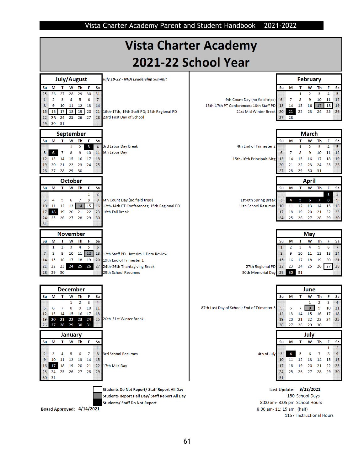